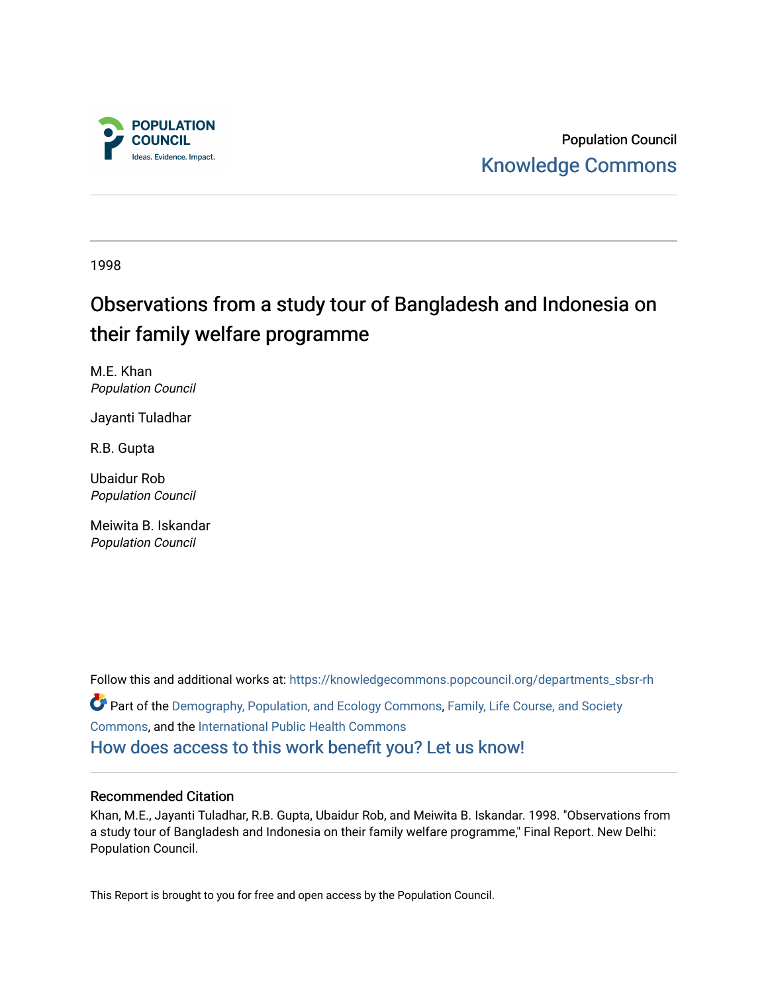

Population Council [Knowledge Commons](https://knowledgecommons.popcouncil.org/) 

1998

# Observations from a study tour of Bangladesh and Indonesia on their family welfare programme

M.E. Khan Population Council

Jayanti Tuladhar

R.B. Gupta

Ubaidur Rob Population Council

Meiwita B. Iskandar Population Council

Follow this and additional works at: [https://knowledgecommons.popcouncil.org/departments\\_sbsr-rh](https://knowledgecommons.popcouncil.org/departments_sbsr-rh?utm_source=knowledgecommons.popcouncil.org%2Fdepartments_sbsr-rh%2F2049&utm_medium=PDF&utm_campaign=PDFCoverPages)  Part of the [Demography, Population, and Ecology Commons,](https://network.bepress.com/hgg/discipline/418?utm_source=knowledgecommons.popcouncil.org%2Fdepartments_sbsr-rh%2F2049&utm_medium=PDF&utm_campaign=PDFCoverPages) [Family, Life Course, and Society](https://network.bepress.com/hgg/discipline/419?utm_source=knowledgecommons.popcouncil.org%2Fdepartments_sbsr-rh%2F2049&utm_medium=PDF&utm_campaign=PDFCoverPages)  [Commons](https://network.bepress.com/hgg/discipline/419?utm_source=knowledgecommons.popcouncil.org%2Fdepartments_sbsr-rh%2F2049&utm_medium=PDF&utm_campaign=PDFCoverPages), and the [International Public Health Commons](https://network.bepress.com/hgg/discipline/746?utm_source=knowledgecommons.popcouncil.org%2Fdepartments_sbsr-rh%2F2049&utm_medium=PDF&utm_campaign=PDFCoverPages) [How does access to this work benefit you? Let us know!](https://pcouncil.wufoo.com/forms/open-access-to-population-council-research/)

#### Recommended Citation

Khan, M.E., Jayanti Tuladhar, R.B. Gupta, Ubaidur Rob, and Meiwita B. Iskandar. 1998. "Observations from a study tour of Bangladesh and Indonesia on their family welfare programme," Final Report. New Delhi: Population Council.

This Report is brought to you for free and open access by the Population Council.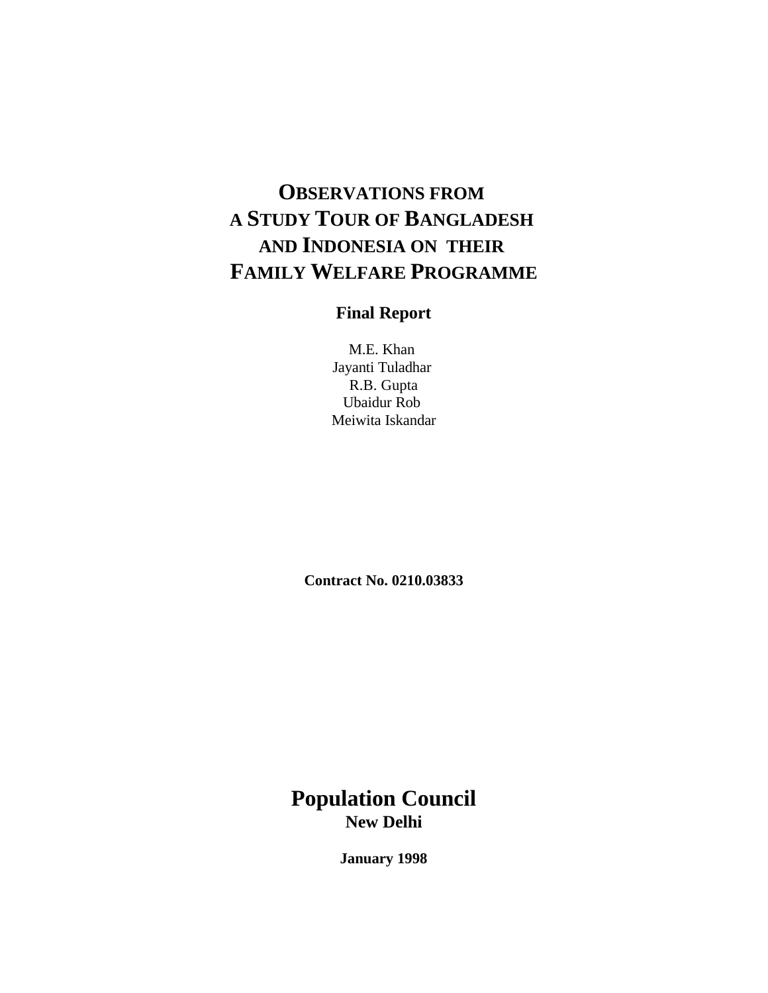# **OBSERVATIONS FROM A STUDY TOUR OF BANGLADESH AND INDONESIA ON THEIR FAMILY WELFARE PROGRAMME**

# **Final Report**

M.E. Khan Jayanti Tuladhar R.B. Gupta Ubaidur Rob Meiwita Iskandar

**Contract No. 0210.03833**

# **Population Council New Delhi**

**January 1998**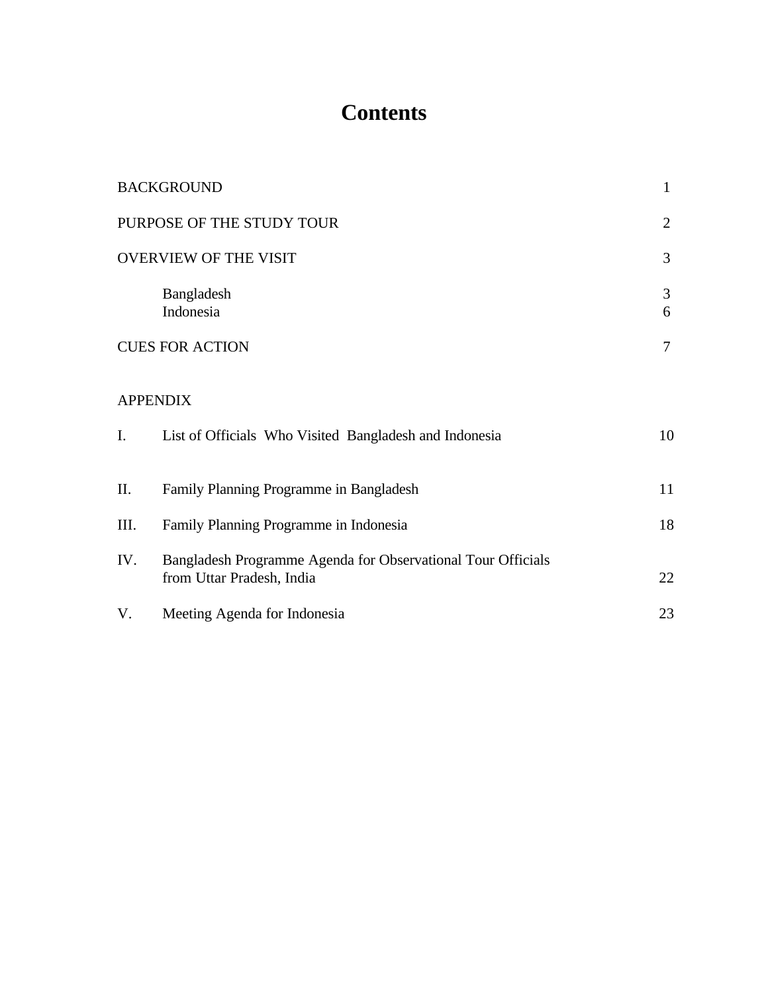# **Contents**

|      | <b>BACKGROUND</b>                                                                         | $\mathbf{1}$ |
|------|-------------------------------------------------------------------------------------------|--------------|
|      | PURPOSE OF THE STUDY TOUR                                                                 | 2            |
|      | <b>OVERVIEW OF THE VISIT</b>                                                              | 3            |
|      | Bangladesh<br>Indonesia                                                                   | 3<br>6       |
|      | <b>CUES FOR ACTION</b>                                                                    | $\tau$       |
|      | <b>APPENDIX</b>                                                                           |              |
| I.   | List of Officials Who Visited Bangladesh and Indonesia                                    | 10           |
| Π.   | Family Planning Programme in Bangladesh                                                   | 11           |
| III. | Family Planning Programme in Indonesia                                                    | 18           |
| IV.  | Bangladesh Programme Agenda for Observational Tour Officials<br>from Uttar Pradesh, India | 22           |
| V.   | Meeting Agenda for Indonesia                                                              | 23           |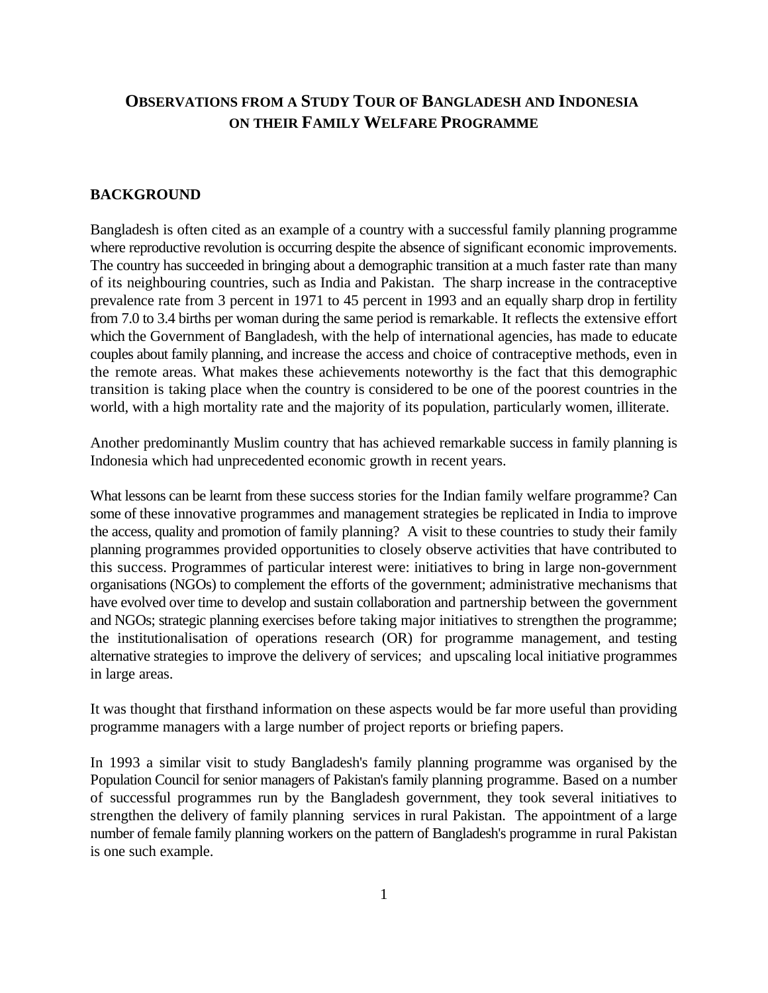# **OBSERVATIONS FROM A STUDY TOUR OF BANGLADESH AND INDONESIA ON THEIR FAMILY WELFARE PROGRAMME**

#### **BACKGROUND**

Bangladesh is often cited as an example of a country with a successful family planning programme where reproductive revolution is occurring despite the absence of significant economic improvements. The country has succeeded in bringing about a demographic transition at a much faster rate than many of its neighbouring countries, such as India and Pakistan. The sharp increase in the contraceptive prevalence rate from 3 percent in 1971 to 45 percent in 1993 and an equally sharp drop in fertility from 7.0 to 3.4 births per woman during the same period is remarkable. It reflects the extensive effort which the Government of Bangladesh, with the help of international agencies, has made to educate couples about family planning, and increase the access and choice of contraceptive methods, even in the remote areas. What makes these achievements noteworthy is the fact that this demographic transition is taking place when the country is considered to be one of the poorest countries in the world, with a high mortality rate and the majority of its population, particularly women, illiterate.

Another predominantly Muslim country that has achieved remarkable success in family planning is Indonesia which had unprecedented economic growth in recent years.

What lessons can be learnt from these success stories for the Indian family welfare programme? Can some of these innovative programmes and management strategies be replicated in India to improve the access, quality and promotion of family planning? A visit to these countries to study their family planning programmes provided opportunities to closely observe activities that have contributed to this success. Programmes of particular interest were: initiatives to bring in large non-government organisations (NGOs) to complement the efforts of the government; administrative mechanisms that have evolved over time to develop and sustain collaboration and partnership between the government and NGOs; strategic planning exercises before taking major initiatives to strengthen the programme; the institutionalisation of operations research (OR) for programme management, and testing alternative strategies to improve the delivery of services; and upscaling local initiative programmes in large areas.

It was thought that firsthand information on these aspects would be far more useful than providing programme managers with a large number of project reports or briefing papers.

In 1993 a similar visit to study Bangladesh's family planning programme was organised by the Population Council for senior managers of Pakistan's family planning programme. Based on a number of successful programmes run by the Bangladesh government, they took several initiatives to strengthen the delivery of family planning services in rural Pakistan. The appointment of a large number of female family planning workers on the pattern of Bangladesh's programme in rural Pakistan is one such example.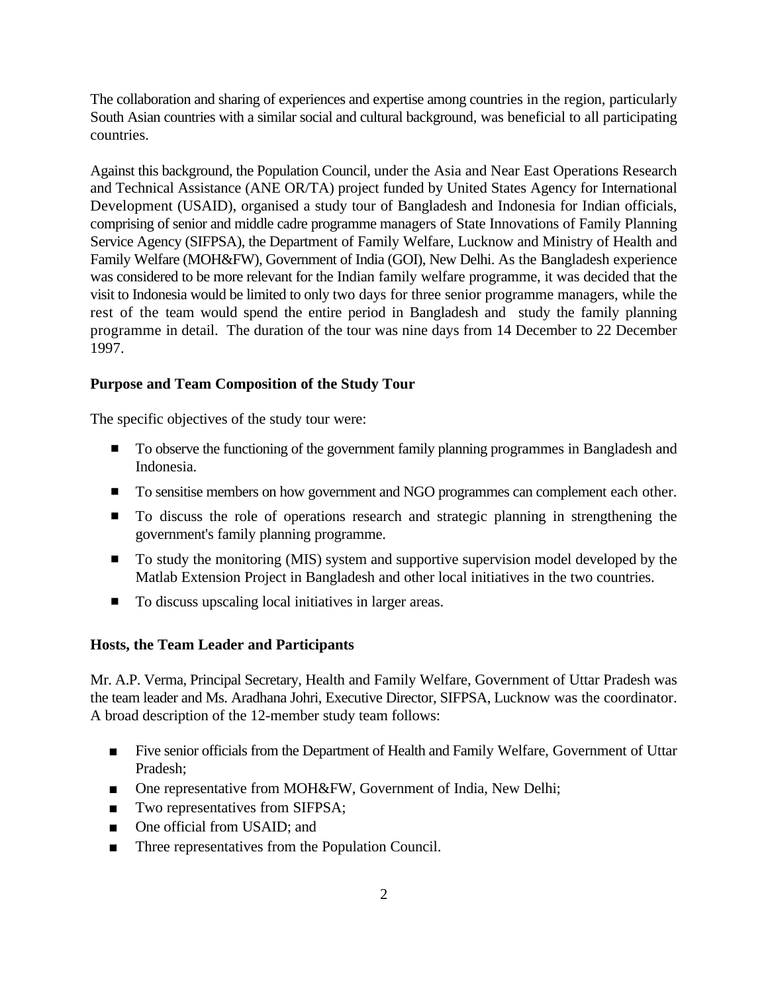The collaboration and sharing of experiences and expertise among countries in the region, particularly South Asian countries with a similar social and cultural background, was beneficial to all participating countries.

Against this background, the Population Council, under the Asia and Near East Operations Research and Technical Assistance (ANE OR/TA) project funded by United States Agency for International Development (USAID), organised a study tour of Bangladesh and Indonesia for Indian officials, comprising of senior and middle cadre programme managers of State Innovations of Family Planning Service Agency (SIFPSA), the Department of Family Welfare, Lucknow and Ministry of Health and Family Welfare (MOH&FW), Government of India (GOI), New Delhi. As the Bangladesh experience was considered to be more relevant for the Indian family welfare programme, it was decided that the visit to Indonesia would be limited to only two days for three senior programme managers, while the rest of the team would spend the entire period in Bangladesh and study the family planning programme in detail. The duration of the tour was nine days from 14 December to 22 December 1997.

### **Purpose and Team Composition of the Study Tour**

The specific objectives of the study tour were:

- **To observe the functioning of the government family planning programmes in Bangladesh and** Indonesia.
- **IDED** To sensitise members on how government and NGO programmes can complement each other.
- **To discuss the role of operations research and strategic planning in strengthening the** government's family planning programme.
- **To study the monitoring (MIS) system and supportive supervision model developed by the** Matlab Extension Project in Bangladesh and other local initiatives in the two countries.
- To discuss upscaling local initiatives in larger areas.

#### **Hosts, the Team Leader and Participants**

Mr. A.P. Verma, Principal Secretary, Health and Family Welfare, Government of Uttar Pradesh was the team leader and Ms. Aradhana Johri, Executive Director, SIFPSA, Lucknow was the coordinator. A broad description of the 12-member study team follows:

- **Example 1** Five senior officials from the Department of Health and Family Welfare, Government of Uttar Pradesh;
- One representative from MOH&FW, Government of India, New Delhi;
- Two representatives from SIFPSA;
- One official from USAID; and
- Three representatives from the Population Council.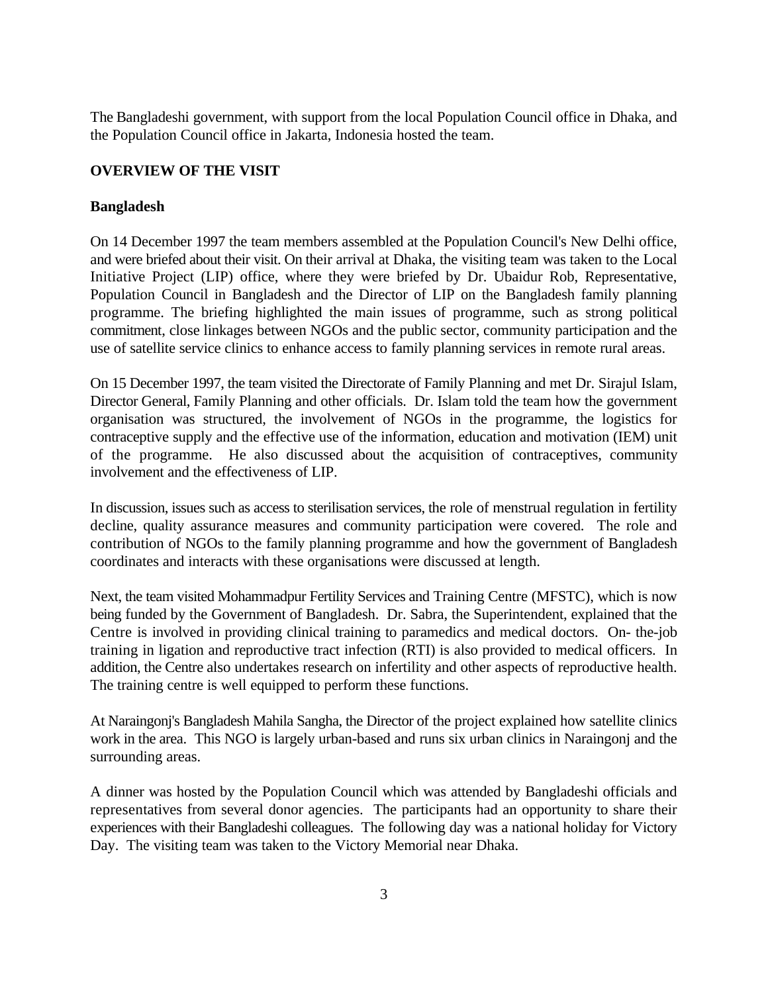The Bangladeshi government, with support from the local Population Council office in Dhaka, and the Population Council office in Jakarta, Indonesia hosted the team.

## **OVERVIEW OF THE VISIT**

#### **Bangladesh**

On 14 December 1997 the team members assembled at the Population Council's New Delhi office, and were briefed about their visit. On their arrival at Dhaka, the visiting team was taken to the Local Initiative Project (LIP) office, where they were briefed by Dr. Ubaidur Rob, Representative, Population Council in Bangladesh and the Director of LIP on the Bangladesh family planning programme. The briefing highlighted the main issues of programme, such as strong political commitment, close linkages between NGOs and the public sector, community participation and the use of satellite service clinics to enhance access to family planning services in remote rural areas.

On 15 December 1997, the team visited the Directorate of Family Planning and met Dr. Sirajul Islam, Director General, Family Planning and other officials. Dr. Islam told the team how the government organisation was structured, the involvement of NGOs in the programme, the logistics for contraceptive supply and the effective use of the information, education and motivation (IEM) unit of the programme. He also discussed about the acquisition of contraceptives, community involvement and the effectiveness of LIP.

In discussion, issues such as access to sterilisation services, the role of menstrual regulation in fertility decline, quality assurance measures and community participation were covered. The role and contribution of NGOs to the family planning programme and how the government of Bangladesh coordinates and interacts with these organisations were discussed at length.

Next, the team visited Mohammadpur Fertility Services and Training Centre (MFSTC), which is now being funded by the Government of Bangladesh. Dr. Sabra, the Superintendent, explained that the Centre is involved in providing clinical training to paramedics and medical doctors. On- the-job training in ligation and reproductive tract infection (RTI) is also provided to medical officers. In addition, the Centre also undertakes research on infertility and other aspects of reproductive health. The training centre is well equipped to perform these functions.

At Naraingonj's Bangladesh Mahila Sangha, the Director of the project explained how satellite clinics work in the area. This NGO is largely urban-based and runs six urban clinics in Naraingonj and the surrounding areas.

A dinner was hosted by the Population Council which was attended by Bangladeshi officials and representatives from several donor agencies. The participants had an opportunity to share their experiences with their Bangladeshi colleagues. The following day was a national holiday for Victory Day. The visiting team was taken to the Victory Memorial near Dhaka.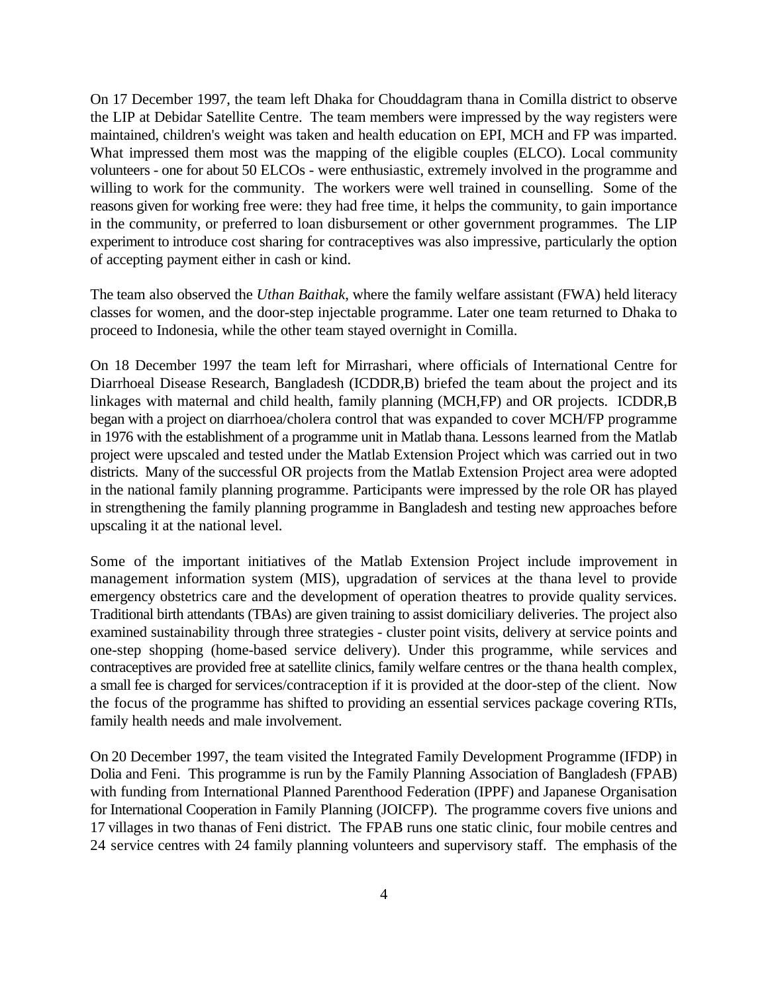On 17 December 1997, the team left Dhaka for Chouddagram thana in Comilla district to observe the LIP at Debidar Satellite Centre. The team members were impressed by the way registers were maintained, children's weight was taken and health education on EPI, MCH and FP was imparted. What impressed them most was the mapping of the eligible couples (ELCO). Local community volunteers - one for about 50 ELCOs - were enthusiastic, extremely involved in the programme and willing to work for the community. The workers were well trained in counselling. Some of the reasons given for working free were: they had free time, it helps the community, to gain importance in the community, or preferred to loan disbursement or other government programmes. The LIP experiment to introduce cost sharing for contraceptives was also impressive, particularly the option of accepting payment either in cash or kind.

The team also observed the *Uthan Baithak*, where the family welfare assistant (FWA) held literacy classes for women, and the door-step injectable programme. Later one team returned to Dhaka to proceed to Indonesia, while the other team stayed overnight in Comilla.

On 18 December 1997 the team left for Mirrashari, where officials of International Centre for Diarrhoeal Disease Research, Bangladesh (ICDDR,B) briefed the team about the project and its linkages with maternal and child health, family planning (MCH,FP) and OR projects. ICDDR,B began with a project on diarrhoea/cholera control that was expanded to cover MCH/FP programme in 1976 with the establishment of a programme unit in Matlab thana. Lessons learned from the Matlab project were upscaled and tested under the Matlab Extension Project which was carried out in two districts. Many of the successful OR projects from the Matlab Extension Project area were adopted in the national family planning programme. Participants were impressed by the role OR has played in strengthening the family planning programme in Bangladesh and testing new approaches before upscaling it at the national level.

Some of the important initiatives of the Matlab Extension Project include improvement in management information system (MIS), upgradation of services at the thana level to provide emergency obstetrics care and the development of operation theatres to provide quality services. Traditional birth attendants (TBAs) are given training to assist domiciliary deliveries. The project also examined sustainability through three strategies - cluster point visits, delivery at service points and one-step shopping (home-based service delivery). Under this programme, while services and contraceptives are provided free at satellite clinics, family welfare centres or the thana health complex, a small fee is charged for services/contraception if it is provided at the door-step of the client. Now the focus of the programme has shifted to providing an essential services package covering RTIs, family health needs and male involvement.

On 20 December 1997, the team visited the Integrated Family Development Programme (IFDP) in Dolia and Feni. This programme is run by the Family Planning Association of Bangladesh (FPAB) with funding from International Planned Parenthood Federation (IPPF) and Japanese Organisation for International Cooperation in Family Planning (JOICFP). The programme covers five unions and 17 villages in two thanas of Feni district. The FPAB runs one static clinic, four mobile centres and 24 service centres with 24 family planning volunteers and supervisory staff. The emphasis of the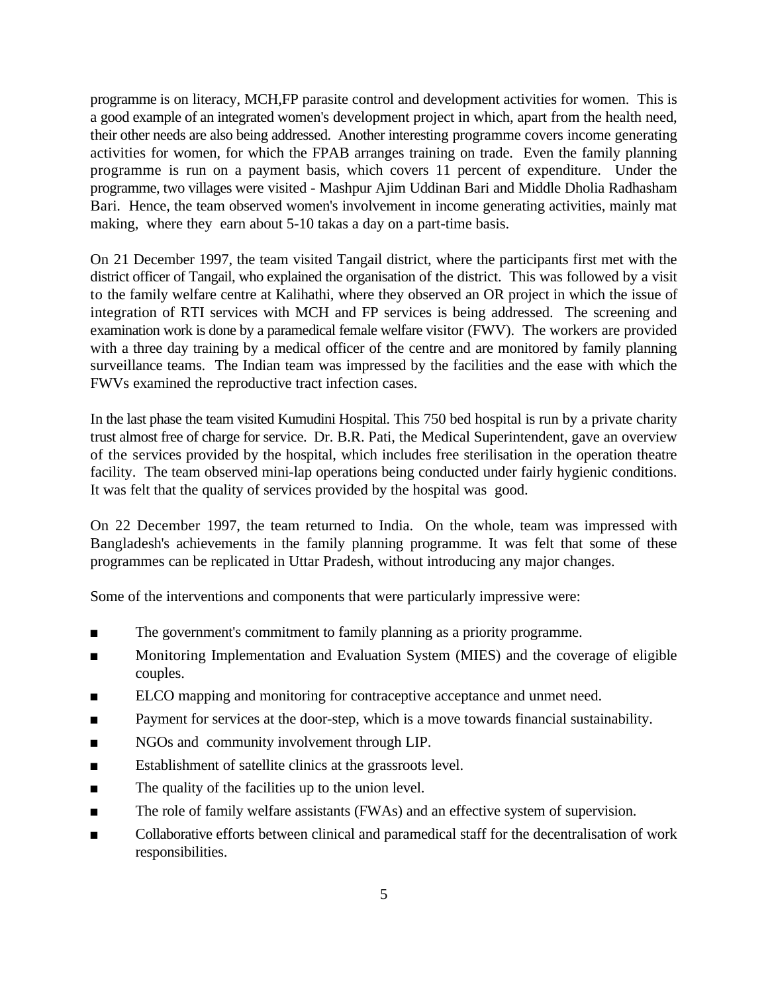programme is on literacy, MCH,FP parasite control and development activities for women. This is a good example of an integrated women's development project in which, apart from the health need, their other needs are also being addressed. Another interesting programme covers income generating activities for women, for which the FPAB arranges training on trade. Even the family planning programme is run on a payment basis, which covers 11 percent of expenditure. Under the programme, two villages were visited - Mashpur Ajim Uddinan Bari and Middle Dholia Radhasham Bari. Hence, the team observed women's involvement in income generating activities, mainly mat making, where they earn about 5-10 takas a day on a part-time basis.

On 21 December 1997, the team visited Tangail district, where the participants first met with the district officer of Tangail, who explained the organisation of the district. This was followed by a visit to the family welfare centre at Kalihathi, where they observed an OR project in which the issue of integration of RTI services with MCH and FP services is being addressed. The screening and examination work is done by a paramedical female welfare visitor (FWV). The workers are provided with a three day training by a medical officer of the centre and are monitored by family planning surveillance teams. The Indian team was impressed by the facilities and the ease with which the FWVs examined the reproductive tract infection cases.

In the last phase the team visited Kumudini Hospital. This 750 bed hospital is run by a private charity trust almost free of charge for service. Dr. B.R. Pati, the Medical Superintendent, gave an overview of the services provided by the hospital, which includes free sterilisation in the operation theatre facility. The team observed mini-lap operations being conducted under fairly hygienic conditions. It was felt that the quality of services provided by the hospital was good.

On 22 December 1997, the team returned to India. On the whole, team was impressed with Bangladesh's achievements in the family planning programme. It was felt that some of these programmes can be replicated in Uttar Pradesh, without introducing any major changes.

Some of the interventions and components that were particularly impressive were:

- The government's commitment to family planning as a priority programme.
- **EXECUTE:** Monitoring Implementation and Evaluation System (MIES) and the coverage of eligible couples.
- ELCO mapping and monitoring for contraceptive acceptance and unmet need.
- **••** Payment for services at the door-step, which is a move towards financial sustainability.
- **EXECUTE:** NGOs and community involvement through LIP.
- **Establishment of satellite clinics at the grassroots level.**
- $\blacksquare$  The quality of the facilities up to the union level.
- The role of family welfare assistants (FWAs) and an effective system of supervision.
- **EXECOLLA** Collaborative efforts between clinical and paramedical staff for the decentralisation of work responsibilities.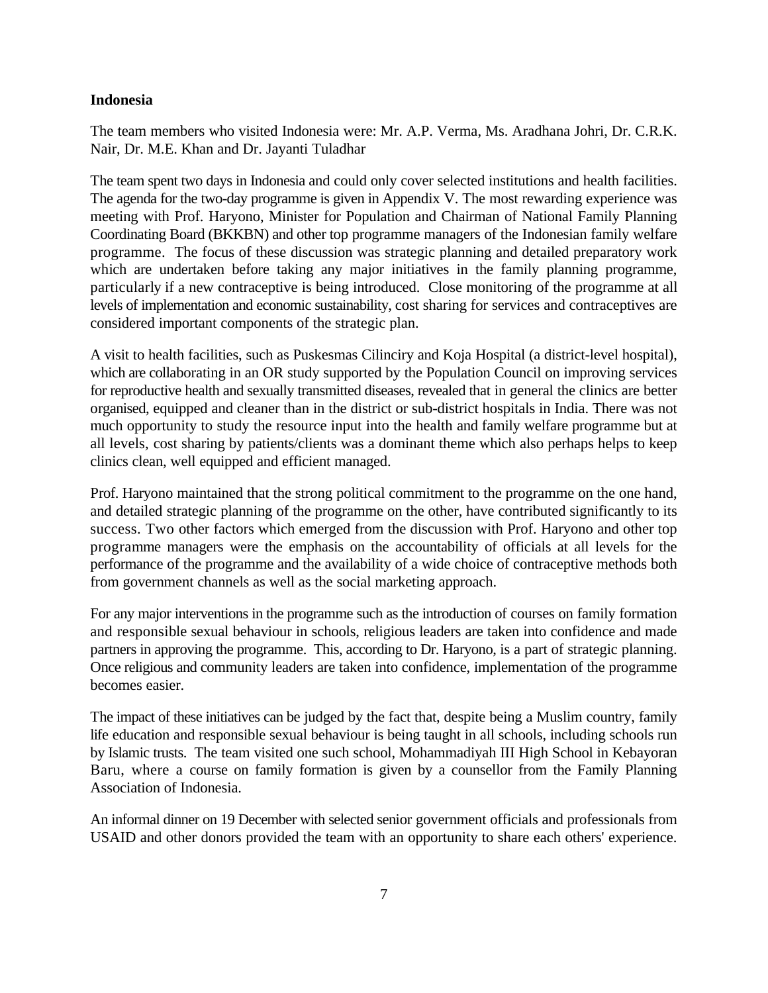#### **Indonesia**

The team members who visited Indonesia were: Mr. A.P. Verma, Ms. Aradhana Johri, Dr. C.R.K. Nair, Dr. M.E. Khan and Dr. Jayanti Tuladhar

The team spent two days in Indonesia and could only cover selected institutions and health facilities. The agenda for the two-day programme is given in Appendix V. The most rewarding experience was meeting with Prof. Haryono, Minister for Population and Chairman of National Family Planning Coordinating Board (BKKBN) and other top programme managers of the Indonesian family welfare programme. The focus of these discussion was strategic planning and detailed preparatory work which are undertaken before taking any major initiatives in the family planning programme, particularly if a new contraceptive is being introduced. Close monitoring of the programme at all levels of implementation and economic sustainability, cost sharing for services and contraceptives are considered important components of the strategic plan.

A visit to health facilities, such as Puskesmas Cilinciry and Koja Hospital (a district-level hospital), which are collaborating in an OR study supported by the Population Council on improving services for reproductive health and sexually transmitted diseases, revealed that in general the clinics are better organised, equipped and cleaner than in the district or sub-district hospitals in India. There was not much opportunity to study the resource input into the health and family welfare programme but at all levels, cost sharing by patients/clients was a dominant theme which also perhaps helps to keep clinics clean, well equipped and efficient managed.

Prof. Haryono maintained that the strong political commitment to the programme on the one hand, and detailed strategic planning of the programme on the other, have contributed significantly to its success. Two other factors which emerged from the discussion with Prof. Haryono and other top programme managers were the emphasis on the accountability of officials at all levels for the performance of the programme and the availability of a wide choice of contraceptive methods both from government channels as well as the social marketing approach.

For any major interventions in the programme such as the introduction of courses on family formation and responsible sexual behaviour in schools, religious leaders are taken into confidence and made partners in approving the programme. This, according to Dr. Haryono, is a part of strategic planning. Once religious and community leaders are taken into confidence, implementation of the programme becomes easier.

The impact of these initiatives can be judged by the fact that, despite being a Muslim country, family life education and responsible sexual behaviour is being taught in all schools, including schools run by Islamic trusts. The team visited one such school, Mohammadiyah III High School in Kebayoran Baru, where a course on family formation is given by a counsellor from the Family Planning Association of Indonesia.

An informal dinner on 19 December with selected senior government officials and professionals from USAID and other donors provided the team with an opportunity to share each others' experience.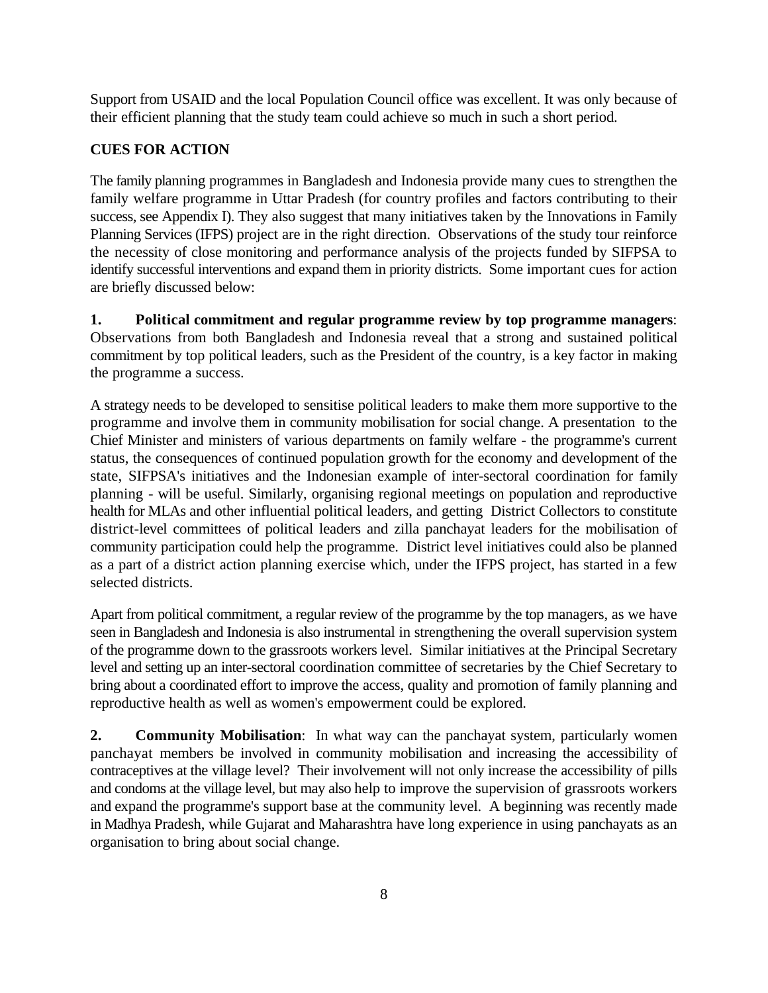Support from USAID and the local Population Council office was excellent. It was only because of their efficient planning that the study team could achieve so much in such a short period.

# **CUES FOR ACTION**

The family planning programmes in Bangladesh and Indonesia provide many cues to strengthen the family welfare programme in Uttar Pradesh (for country profiles and factors contributing to their success, see Appendix I). They also suggest that many initiatives taken by the Innovations in Family Planning Services (IFPS) project are in the right direction. Observations of the study tour reinforce the necessity of close monitoring and performance analysis of the projects funded by SIFPSA to identify successful interventions and expand them in priority districts. Some important cues for action are briefly discussed below:

**1. Political commitment and regular programme review by top programme managers**: Observations from both Bangladesh and Indonesia reveal that a strong and sustained political commitment by top political leaders, such as the President of the country, is a key factor in making the programme a success.

A strategy needs to be developed to sensitise political leaders to make them more supportive to the programme and involve them in community mobilisation for social change. A presentation to the Chief Minister and ministers of various departments on family welfare - the programme's current status, the consequences of continued population growth for the economy and development of the state, SIFPSA's initiatives and the Indonesian example of inter-sectoral coordination for family planning - will be useful. Similarly, organising regional meetings on population and reproductive health for MLAs and other influential political leaders, and getting District Collectors to constitute district-level committees of political leaders and zilla panchayat leaders for the mobilisation of community participation could help the programme. District level initiatives could also be planned as a part of a district action planning exercise which, under the IFPS project, has started in a few selected districts.

Apart from political commitment, a regular review of the programme by the top managers, as we have seen in Bangladesh and Indonesia is also instrumental in strengthening the overall supervision system of the programme down to the grassroots workers level. Similar initiatives at the Principal Secretary level and setting up an inter-sectoral coordination committee of secretaries by the Chief Secretary to bring about a coordinated effort to improve the access, quality and promotion of family planning and reproductive health as well as women's empowerment could be explored.

**2. Community Mobilisation**: In what way can the panchayat system, particularly women panchayat members be involved in community mobilisation and increasing the accessibility of contraceptives at the village level? Their involvement will not only increase the accessibility of pills and condoms at the village level, but may also help to improve the supervision of grassroots workers and expand the programme's support base at the community level. A beginning was recently made in Madhya Pradesh, while Gujarat and Maharashtra have long experience in using panchayats as an organisation to bring about social change.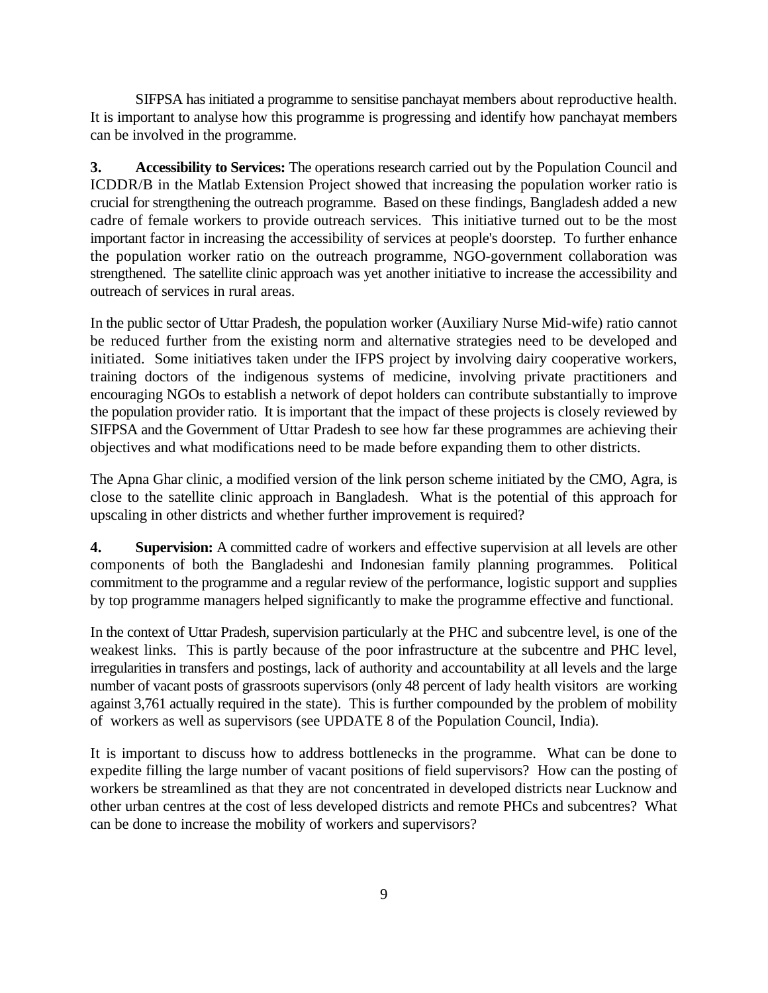SIFPSA has initiated a programme to sensitise panchayat members about reproductive health. It is important to analyse how this programme is progressing and identify how panchayat members can be involved in the programme.

**3. Accessibility to Services:** The operations research carried out by the Population Council and ICDDR/B in the Matlab Extension Project showed that increasing the population worker ratio is crucial for strengthening the outreach programme. Based on these findings, Bangladesh added a new cadre of female workers to provide outreach services. This initiative turned out to be the most important factor in increasing the accessibility of services at people's doorstep. To further enhance the population worker ratio on the outreach programme, NGO-government collaboration was strengthened. The satellite clinic approach was yet another initiative to increase the accessibility and outreach of services in rural areas.

In the public sector of Uttar Pradesh, the population worker (Auxiliary Nurse Mid-wife) ratio cannot be reduced further from the existing norm and alternative strategies need to be developed and initiated. Some initiatives taken under the IFPS project by involving dairy cooperative workers, training doctors of the indigenous systems of medicine, involving private practitioners and encouraging NGOs to establish a network of depot holders can contribute substantially to improve the population provider ratio. It is important that the impact of these projects is closely reviewed by SIFPSA and the Government of Uttar Pradesh to see how far these programmes are achieving their objectives and what modifications need to be made before expanding them to other districts.

The Apna Ghar clinic, a modified version of the link person scheme initiated by the CMO, Agra, is close to the satellite clinic approach in Bangladesh. What is the potential of this approach for upscaling in other districts and whether further improvement is required?

**4. Supervision:** A committed cadre of workers and effective supervision at all levels are other components of both the Bangladeshi and Indonesian family planning programmes. Political commitment to the programme and a regular review of the performance, logistic support and supplies by top programme managers helped significantly to make the programme effective and functional.

In the context of Uttar Pradesh, supervision particularly at the PHC and subcentre level, is one of the weakest links. This is partly because of the poor infrastructure at the subcentre and PHC level, irregularities in transfers and postings, lack of authority and accountability at all levels and the large number of vacant posts of grassroots supervisors (only 48 percent of lady health visitors are working against 3,761 actually required in the state). This is further compounded by the problem of mobility of workers as well as supervisors (see UPDATE 8 of the Population Council, India).

It is important to discuss how to address bottlenecks in the programme. What can be done to expedite filling the large number of vacant positions of field supervisors? How can the posting of workers be streamlined as that they are not concentrated in developed districts near Lucknow and other urban centres at the cost of less developed districts and remote PHCs and subcentres? What can be done to increase the mobility of workers and supervisors?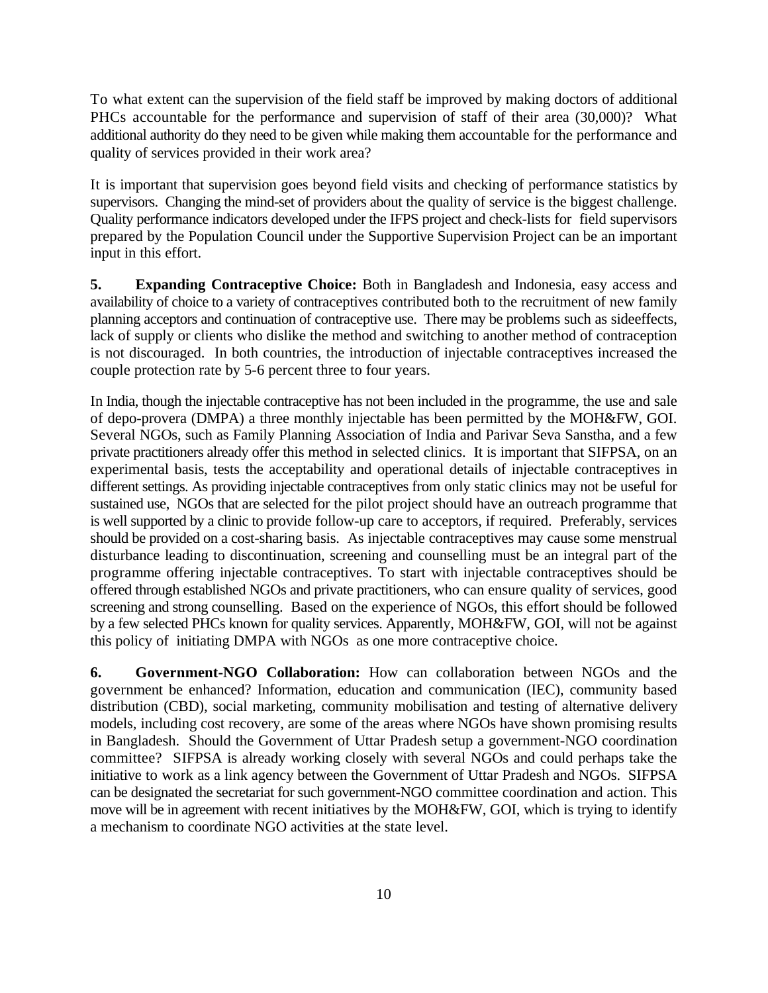To what extent can the supervision of the field staff be improved by making doctors of additional PHCs accountable for the performance and supervision of staff of their area (30,000)? What additional authority do they need to be given while making them accountable for the performance and quality of services provided in their work area?

It is important that supervision goes beyond field visits and checking of performance statistics by supervisors. Changing the mind-set of providers about the quality of service is the biggest challenge. Quality performance indicators developed under the IFPS project and check-lists for field supervisors prepared by the Population Council under the Supportive Supervision Project can be an important input in this effort.

**5. Expanding Contraceptive Choice:** Both in Bangladesh and Indonesia, easy access and availability of choice to a variety of contraceptives contributed both to the recruitment of new family planning acceptors and continuation of contraceptive use. There may be problems such as sideeffects, lack of supply or clients who dislike the method and switching to another method of contraception is not discouraged. In both countries, the introduction of injectable contraceptives increased the couple protection rate by 5-6 percent three to four years.

In India, though the injectable contraceptive has not been included in the programme, the use and sale of depo-provera (DMPA) a three monthly injectable has been permitted by the MOH&FW, GOI. Several NGOs, such as Family Planning Association of India and Parivar Seva Sanstha, and a few private practitioners already offer this method in selected clinics. It is important that SIFPSA, on an experimental basis, tests the acceptability and operational details of injectable contraceptives in different settings. As providing injectable contraceptives from only static clinics may not be useful for sustained use, NGOs that are selected for the pilot project should have an outreach programme that is well supported by a clinic to provide follow-up care to acceptors, if required. Preferably, services should be provided on a cost-sharing basis. As injectable contraceptives may cause some menstrual disturbance leading to discontinuation, screening and counselling must be an integral part of the programme offering injectable contraceptives. To start with injectable contraceptives should be offered through established NGOs and private practitioners, who can ensure quality of services, good screening and strong counselling. Based on the experience of NGOs, this effort should be followed by a few selected PHCs known for quality services. Apparently, MOH&FW, GOI, will not be against this policy of initiating DMPA with NGOs as one more contraceptive choice.

**6. Government-NGO Collaboration:** How can collaboration between NGOs and the government be enhanced? Information, education and communication (IEC), community based distribution (CBD), social marketing, community mobilisation and testing of alternative delivery models, including cost recovery, are some of the areas where NGOs have shown promising results in Bangladesh. Should the Government of Uttar Pradesh setup a government-NGO coordination committee? SIFPSA is already working closely with several NGOs and could perhaps take the initiative to work as a link agency between the Government of Uttar Pradesh and NGOs. SIFPSA can be designated the secretariat for such government-NGO committee coordination and action. This move will be in agreement with recent initiatives by the MOH&FW, GOI, which is trying to identify a mechanism to coordinate NGO activities at the state level.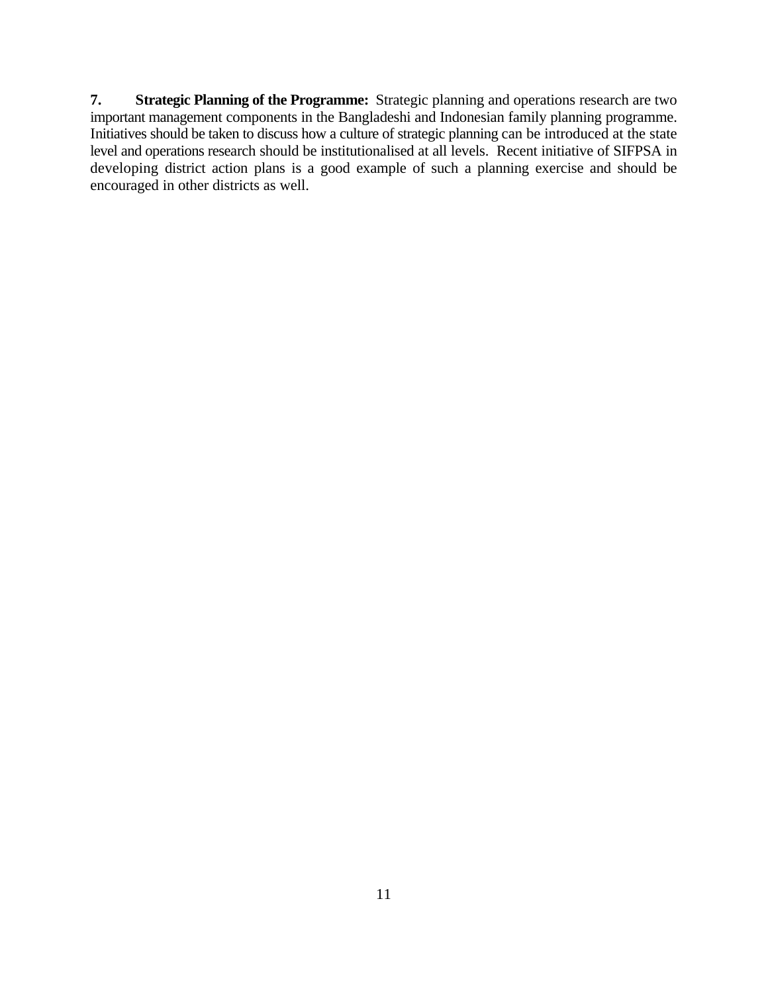**7. Strategic Planning of the Programme:** Strategic planning and operations research are two important management components in the Bangladeshi and Indonesian family planning programme. Initiatives should be taken to discuss how a culture of strategic planning can be introduced at the state level and operations research should be institutionalised at all levels. Recent initiative of SIFPSA in developing district action plans is a good example of such a planning exercise and should be encouraged in other districts as well.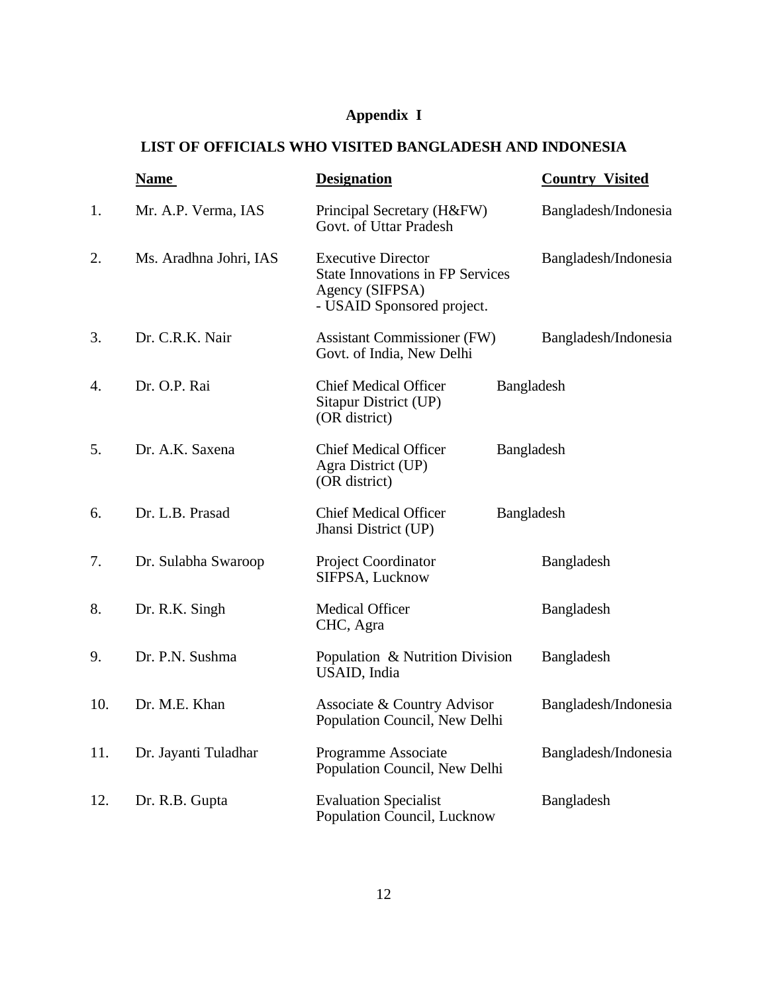# **Appendix I**

# **LIST OF OFFICIALS WHO VISITED BANGLADESH AND INDONESIA**

|     | <b>Name</b>            | <b>Designation</b>                                                                                                    |            | <b>Country Visited</b> |
|-----|------------------------|-----------------------------------------------------------------------------------------------------------------------|------------|------------------------|
| 1.  | Mr. A.P. Verma, IAS    | Principal Secretary (H&FW)<br>Govt. of Uttar Pradesh                                                                  |            | Bangladesh/Indonesia   |
| 2.  | Ms. Aradhna Johri, IAS | <b>Executive Director</b><br><b>State Innovations in FP Services</b><br>Agency (SIFPSA)<br>- USAID Sponsored project. |            | Bangladesh/Indonesia   |
| 3.  | Dr. C.R.K. Nair        | <b>Assistant Commissioner (FW)</b><br>Govt. of India, New Delhi                                                       |            | Bangladesh/Indonesia   |
| 4.  | Dr. O.P. Rai           | <b>Chief Medical Officer</b><br>Sitapur District (UP)<br>(OR district)                                                | Bangladesh |                        |
| 5.  | Dr. A.K. Saxena        | <b>Chief Medical Officer</b><br>Agra District (UP)<br>(OR district)                                                   | Bangladesh |                        |
| 6.  | Dr. L.B. Prasad        | <b>Chief Medical Officer</b><br>Jhansi District (UP)                                                                  | Bangladesh |                        |
| 7.  | Dr. Sulabha Swaroop    | <b>Project Coordinator</b><br>SIFPSA, Lucknow                                                                         |            | Bangladesh             |
| 8.  | Dr. R.K. Singh         | <b>Medical Officer</b><br>CHC, Agra                                                                                   |            | Bangladesh             |
| 9.  | Dr. P.N. Sushma        | Population & Nutrition Division<br>USAID, India                                                                       |            | Bangladesh             |
| 10. | Dr. M.E. Khan          | Associate & Country Advisor<br>Population Council, New Delhi                                                          |            | Bangladesh/Indonesia   |
| 11. | Dr. Jayanti Tuladhar   | Programme Associate<br>Population Council, New Delhi                                                                  |            | Bangladesh/Indonesia   |
| 12. | Dr. R.B. Gupta         | <b>Evaluation Specialist</b><br>Population Council, Lucknow                                                           |            | Bangladesh             |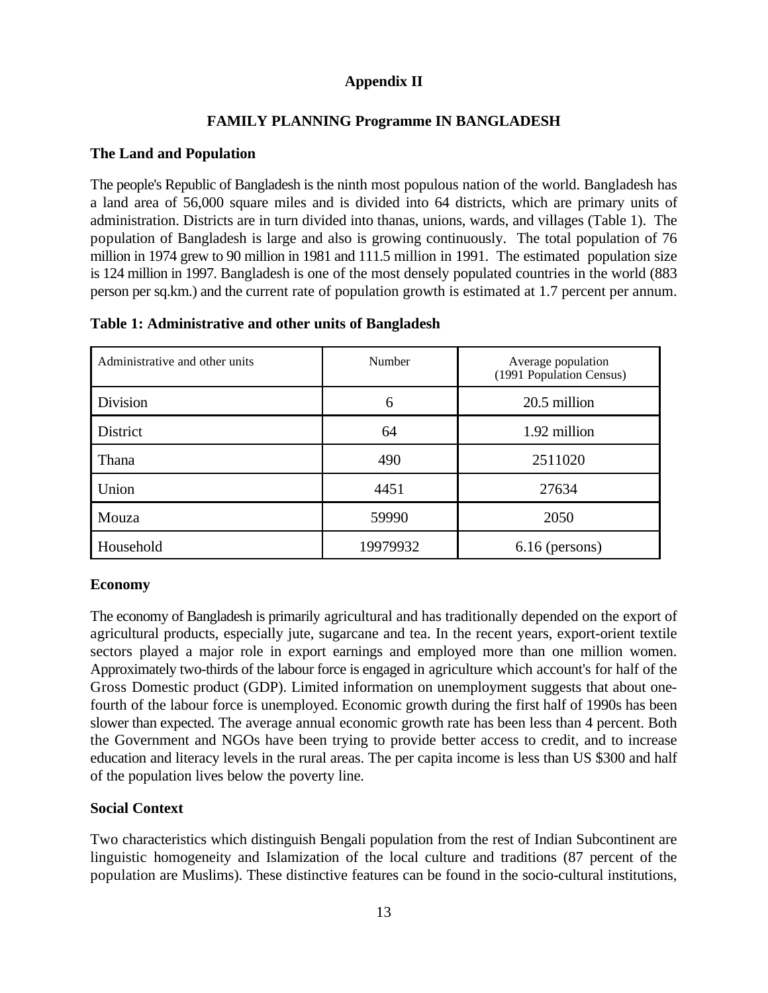## **Appendix II**

# **FAMILY PLANNING Programme IN BANGLADESH**

## **The Land and Population**

The people's Republic of Bangladesh is the ninth most populous nation of the world. Bangladesh has a land area of 56,000 square miles and is divided into 64 districts, which are primary units of administration. Districts are in turn divided into thanas, unions, wards, and villages (Table 1). The population of Bangladesh is large and also is growing continuously. The total population of 76 million in 1974 grew to 90 million in 1981 and 111.5 million in 1991. The estimated population size is 124 million in 1997. Bangladesh is one of the most densely populated countries in the world (883 person per sq.km.) and the current rate of population growth is estimated at 1.7 percent per annum.

| Administrative and other units | Number   | Average population<br>(1991 Population Census) |
|--------------------------------|----------|------------------------------------------------|
| Division                       | 6        | 20.5 million                                   |
| District                       | 64       | 1.92 million                                   |
| Thana                          | 490      | 2511020                                        |
| Union                          | 4451     | 27634                                          |
| Mouza                          | 59990    | 2050                                           |
| Household                      | 19979932 | $6.16$ (persons)                               |

#### **Table 1: Administrative and other units of Bangladesh**

#### **Economy**

The economy of Bangladesh is primarily agricultural and has traditionally depended on the export of agricultural products, especially jute, sugarcane and tea. In the recent years, export-orient textile sectors played a major role in export earnings and employed more than one million women. Approximately two-thirds of the labour force is engaged in agriculture which account's for half of the Gross Domestic product (GDP). Limited information on unemployment suggests that about onefourth of the labour force is unemployed. Economic growth during the first half of 1990s has been slower than expected. The average annual economic growth rate has been less than 4 percent. Both the Government and NGOs have been trying to provide better access to credit, and to increase education and literacy levels in the rural areas. The per capita income is less than US \$300 and half of the population lives below the poverty line.

## **Social Context**

Two characteristics which distinguish Bengali population from the rest of Indian Subcontinent are linguistic homogeneity and Islamization of the local culture and traditions (87 percent of the population are Muslims). These distinctive features can be found in the socio-cultural institutions,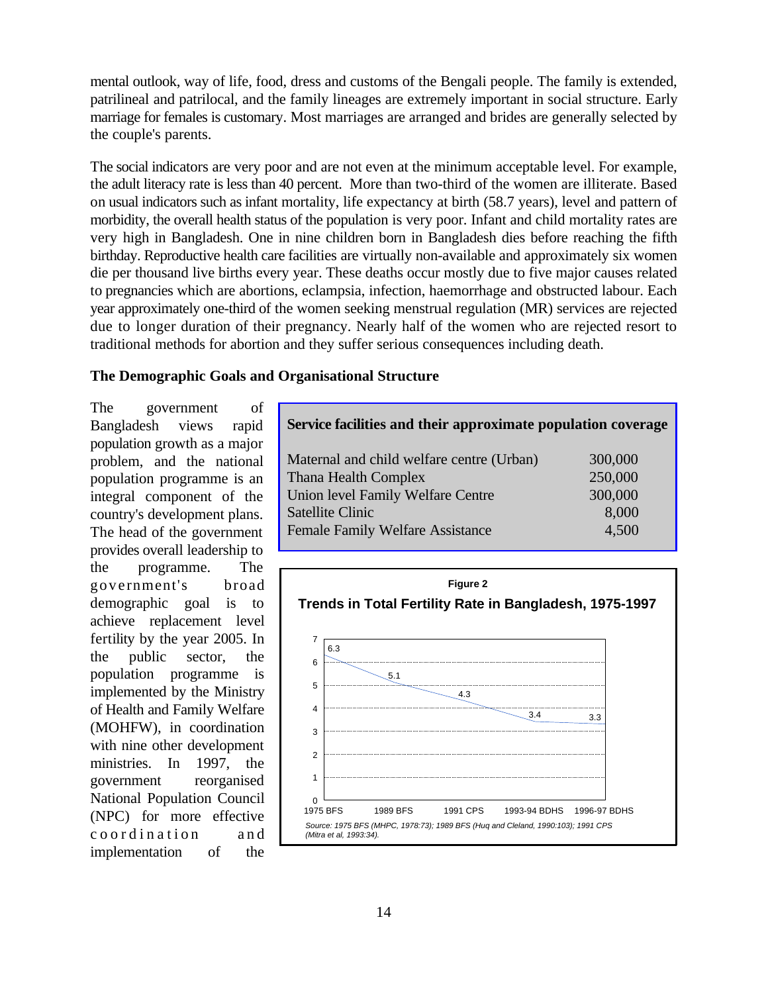mental outlook, way of life, food, dress and customs of the Bengali people. The family is extended, patrilineal and patrilocal, and the family lineages are extremely important in social structure. Early marriage for females is customary. Most marriages are arranged and brides are generally selected by the couple's parents.

The social indicators are very poor and are not even at the minimum acceptable level. For example, the adult literacy rate is less than 40 percent. More than two-third of the women are illiterate. Based on usual indicators such as infant mortality, life expectancy at birth (58.7 years), level and pattern of morbidity, the overall health status of the population is very poor. Infant and child mortality rates are very high in Bangladesh. One in nine children born in Bangladesh dies before reaching the fifth birthday. Reproductive health care facilities are virtually non-available and approximately six women die per thousand live births every year. These deaths occur mostly due to five major causes related to pregnancies which are abortions, eclampsia, infection, haemorrhage and obstructed labour. Each year approximately one-third of the women seeking menstrual regulation (MR) services are rejected due to longer duration of their pregnancy. Nearly half of the women who are rejected resort to traditional methods for abortion and they suffer serious consequences including death.

#### **The Demographic Goals and Organisational Structure**

The government of Bangladesh views rapid population growth as a major problem, and the national population programme is an integral component of the country's development plans. The head of the government provides overall leadership to the programme. The gove rnment's broad demographic goal is to achieve replacement level fertility by the year 2005. In the public sector, the population programme is implemented by the Ministry of Health and Family Welfare (MOHFW), in coordination with nine other development ministries. In 1997, the government reorganised National Population Council (NPC) for more effective coordination and implementation of the

| Service facilities and their approximate population coverage |         |
|--------------------------------------------------------------|---------|
| Maternal and child welfare centre (Urban)                    | 300,000 |
| <b>Thana Health Complex</b>                                  | 250,000 |
| Union level Family Welfare Centre                            | 300,000 |
| <b>Satellite Clinic</b>                                      | 8,000   |
| <b>Female Family Welfare Assistance</b>                      | 4.500   |

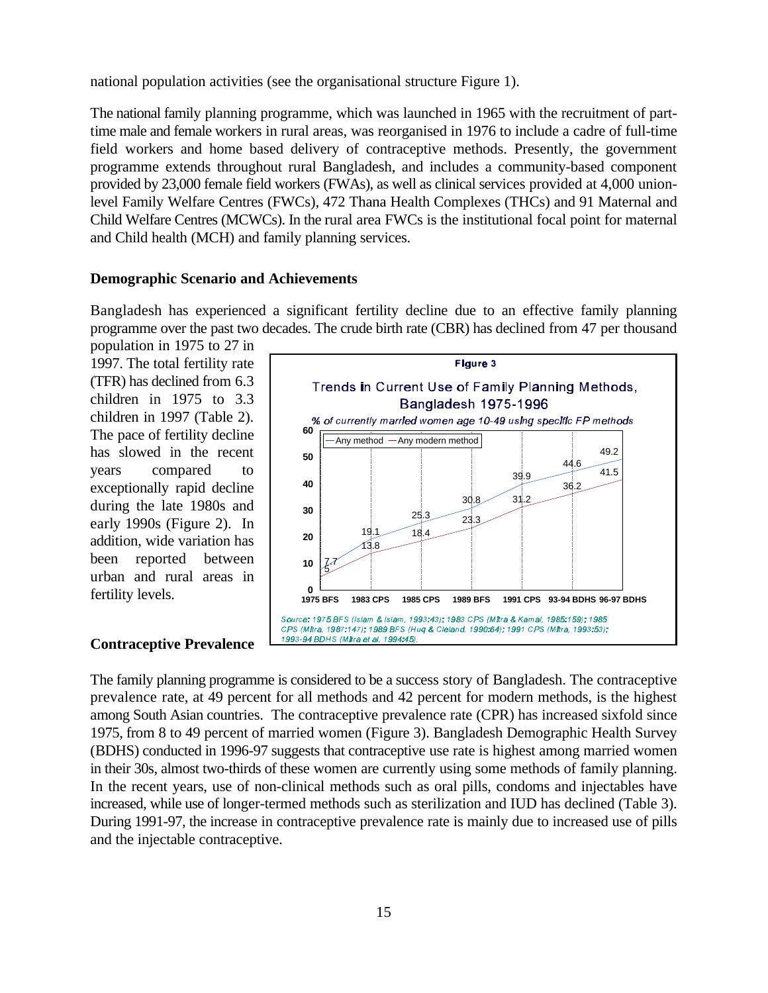national population activities (see the organisational structure Figure 1).

The national family planning programme, which was launched in 1965 with the recruitment of parttime male and female workers in rural areas, was reorganised in 1976 to include a cadre of full-time field workers and home based delivery of contraceptive methods. Presently, the government programme extends throughout rural Bangladesh, and includes a community-based component provided by 23,000 female field workers (FWAs), as well as clinical services provided at 4,000 unionlevel Family Welfare Centres (FWCs), 472 Thana Health Complexes (THCs) and 91 Maternal and Child Welfare Centres (MCWCs). In the rural area FWCs is the institutional focal point for maternal and Child health (MCH) and family planning services.

#### **Demographic Scenario and Achievements**

Bangladesh has experienced a significant fertility decline due to an effective family planning programme over the past two decades. The crude birth rate (CBR) has declined from 47 per thousand

population in 1975 to 27 in 1997. The total fertility rate (TFR) has declined from 6.3 children in 1975 to 3.3 children in 1997 (Table 2). The pace of fertility decline has slowed in the recent years compared to exceptionally rapid decline during the late 1980s and early 1990s (Figure 2). In addition, wide variation has been reported between urban and rural areas in fertility levels.

#### **Contraceptive Prevalence**



The family planning programme is considered to be a success story of Bangladesh. The contraceptive prevalence rate, at 49 percent for all methods and 42 percent for modern methods, is the highest among South Asian countries. The contraceptive prevalence rate (CPR) has increased sixfold since 1975, from 8 to 49 percent of married women (Figure 3). Bangladesh Demographic Health Survey (BDHS) conducted in 1996-97 suggests that contraceptive use rate is highest among married women in their 30s, almost two-thirds of these women are currently using some methods of family planning. In the recent years, use of non-clinical methods such as oral pills, condoms and injectables have increased, while use of longer-termed methods such as sterilization and IUD has declined (Table 3). During 1991-97, the increase in contraceptive prevalence rate is mainly due to increased use of pills and the injectable contraceptive.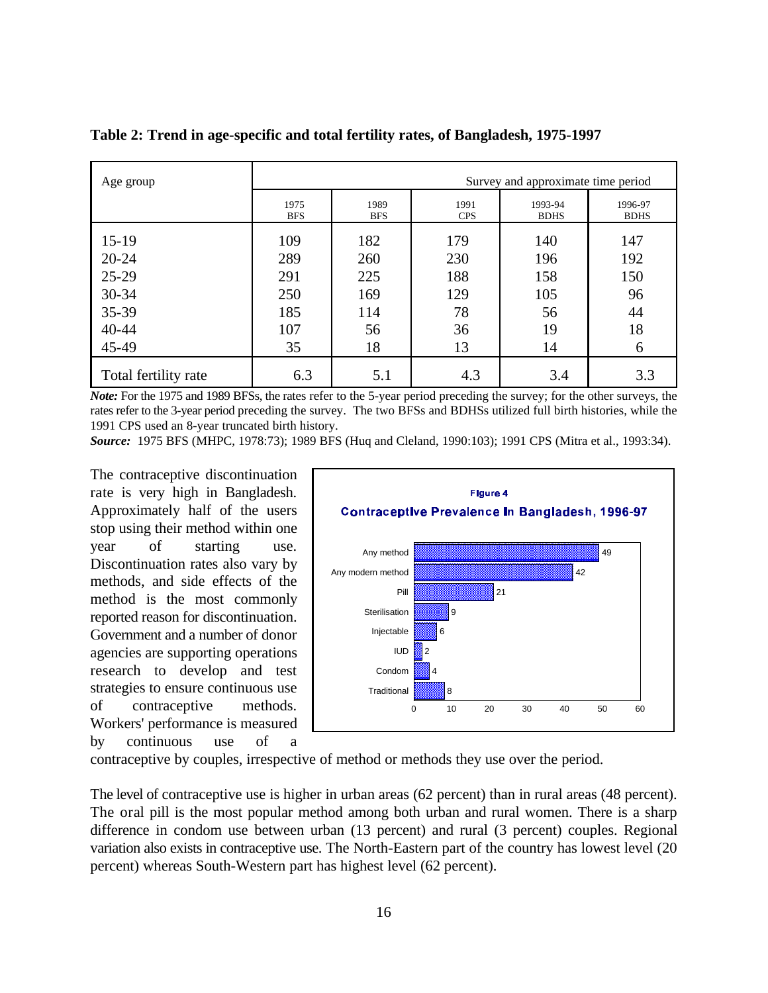| Age group            |                    |                    |                    | Survey and approximate time period |                        |
|----------------------|--------------------|--------------------|--------------------|------------------------------------|------------------------|
|                      | 1975<br><b>BFS</b> | 1989<br><b>BFS</b> | 1991<br><b>CPS</b> | 1993-94<br><b>BDHS</b>             | 1996-97<br><b>BDHS</b> |
| $15-19$              | 109                | 182                | 179                | 140                                | 147                    |
| $20 - 24$            | 289                | 260                | 230                | 196                                | 192                    |
| 25-29                | 291                | 225                | 188                | 158                                | 150                    |
| $30 - 34$            | 250                | 169                | 129                | 105                                | 96                     |
| 35-39                | 185                | 114                | 78                 | 56                                 | 44                     |
| 40-44                | 107                | 56                 | 36                 | 19                                 | 18                     |
| 45-49                | 35                 | 18                 | 13                 | 14                                 | 6                      |
| Total fertility rate | 6.3                | 5.1                | 4.3                | 3.4                                | 3.3                    |

**Table 2: Trend in age-specific and total fertility rates, of Bangladesh, 1975-1997**

*Note:* For the 1975 and 1989 BFSs, the rates refer to the 5-year period preceding the survey; for the other surveys, the rates refer to the 3-year period preceding the survey. The two BFSs and BDHSs utilized full birth histories, while the 1991 CPS used an 8-year truncated birth history.

*Source:* 1975 BFS (MHPC, 1978:73); 1989 BFS (Huq and Cleland, 1990:103); 1991 CPS (Mitra et al., 1993:34).

The contraceptive discontinuation rate is very high in Bangladesh. Approximately half of the users stop using their method within one year of starting use. Discontinuation rates also vary by methods, and side effects of the method is the most commonly reported reason for discontinuation. Government and a number of donor agencies are supporting operations research to develop and test strategies to ensure continuous use of contraceptive methods. Workers' performance is measured by continuous use of a



contraceptive by couples, irrespective of method or methods they use over the period.

The level of contraceptive use is higher in urban areas (62 percent) than in rural areas (48 percent). The oral pill is the most popular method among both urban and rural women. There is a sharp difference in condom use between urban (13 percent) and rural (3 percent) couples. Regional variation also exists in contraceptive use. The North-Eastern part of the country has lowest level (20 percent) whereas South-Western part has highest level (62 percent).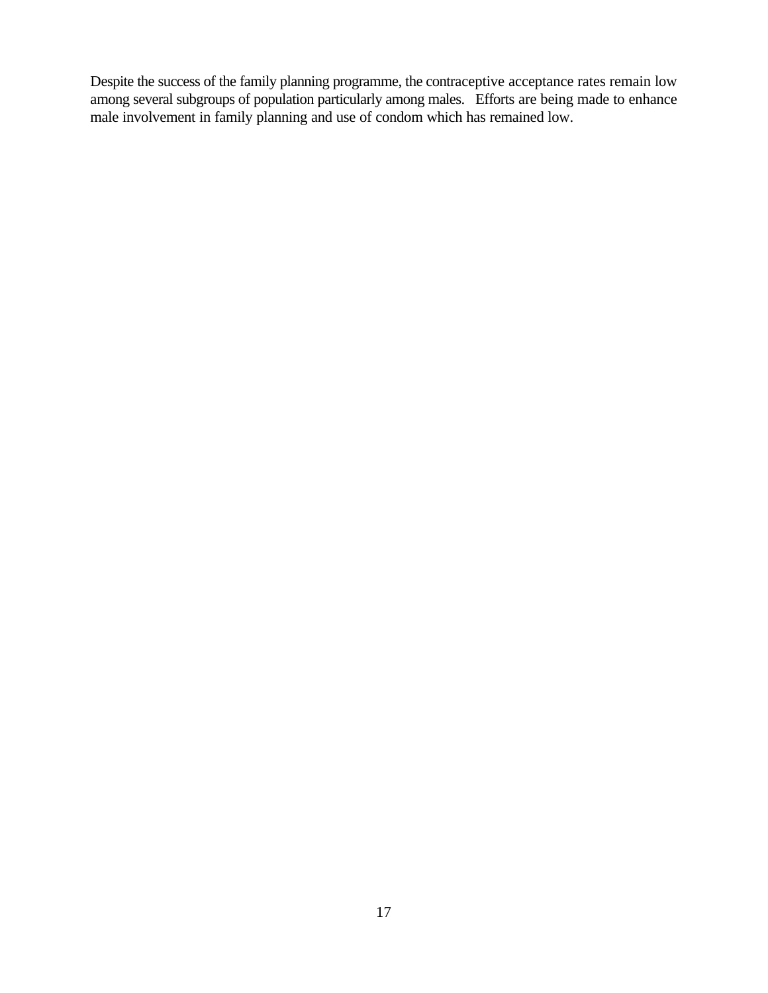Despite the success of the family planning programme, the contraceptive acceptance rates remain low among several subgroups of population particularly among males. Efforts are being made to enhance male involvement in family planning and use of condom which has remained low.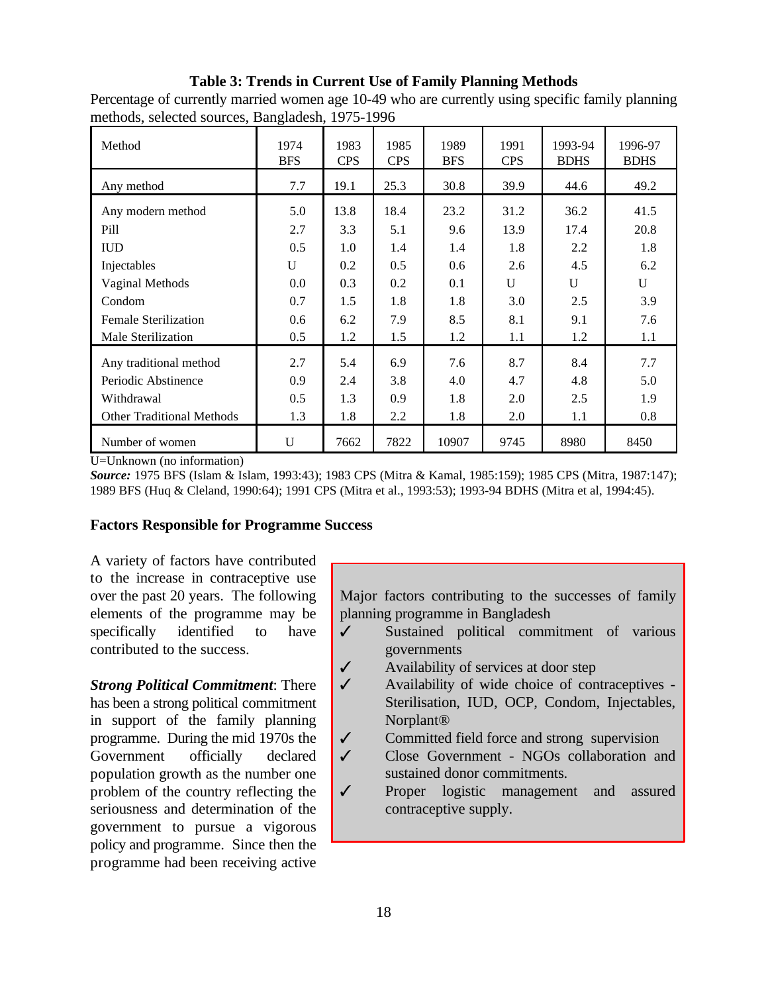#### **Table 3: Trends in Current Use of Family Planning Methods**

Percentage of currently married women age 10-49 who are currently using specific family planning methods, selected sources, Bangladesh, 1975-1996

| Method                           | 1974<br><b>BFS</b> | 1983<br><b>CPS</b> | 1985<br><b>CPS</b> | 1989<br><b>BFS</b> | 1991<br><b>CPS</b> | 1993-94<br><b>BDHS</b> | 1996-97<br><b>BDHS</b> |
|----------------------------------|--------------------|--------------------|--------------------|--------------------|--------------------|------------------------|------------------------|
| Any method                       | 7.7                | 19.1               | 25.3               | 30.8               | 39.9               | 44.6                   | 49.2                   |
| Any modern method                | 5.0                | 13.8               | 18.4               | 23.2               | 31.2               | 36.2                   | 41.5                   |
| Pill                             | 2.7                | 3.3                | 5.1                | 9.6                | 13.9               | 17.4                   | 20.8                   |
| <b>IUD</b>                       | 0.5                | 1.0                | 1.4                | 1.4                | 1.8                | 2.2                    | 1.8                    |
| Injectables                      | U                  | 0.2                | 0.5                | 0.6                | 2.6                | 4.5                    | 6.2                    |
| Vaginal Methods                  | 0.0                | 0.3                | 0.2                | 0.1                | U                  | U                      | U                      |
| Condom                           | 0.7                | 1.5                | 1.8                | 1.8                | 3.0                | 2.5                    | 3.9                    |
| <b>Female Sterilization</b>      | 0.6                | 6.2                | 7.9                | 8.5                | 8.1                | 9.1                    | 7.6                    |
| Male Sterilization               | 0.5                | 1.2                | 1.5                | 1.2                | 1.1                | 1.2                    | 1.1                    |
| Any traditional method           | 2.7                | 5.4                | 6.9                | 7.6                | 8.7                | 8.4                    | 7.7                    |
| Periodic Abstinence              | 0.9                | 2.4                | 3.8                | 4.0                | 4.7                | 4.8                    | 5.0                    |
| Withdrawal                       | 0.5                | 1.3                | 0.9                | 1.8                | 2.0                | 2.5                    | 1.9                    |
| <b>Other Traditional Methods</b> | 1.3                | 1.8                | 2.2                | 1.8                | 2.0                | 1.1                    | 0.8                    |
| Number of women                  | U                  | 7662               | 7822               | 10907              | 9745               | 8980                   | 8450                   |

U=Unknown (no information)

*Source:* 1975 BFS (Islam & Islam, 1993:43); 1983 CPS (Mitra & Kamal, 1985:159); 1985 CPS (Mitra, 1987:147); 1989 BFS (Huq & Cleland, 1990:64); 1991 CPS (Mitra et al., 1993:53); 1993-94 BDHS (Mitra et al, 1994:45).

#### **Factors Responsible for Programme Success**

A variety of factors have contributed to the increase in contraceptive use over the past 20 years. The following elements of the programme may be specifically identified to have contributed to the success.

*Strong Political Commitment*: There has been a strong political commitment in support of the family planning programme. During the mid 1970s the Government officially declared population growth as the number one problem of the country reflecting the seriousness and determination of the government to pursue a vigorous policy and programme. Since then the programme had been receiving active Major factors contributing to the successes of family planning programme in Bangladesh

- $\checkmark$  Sustained political commitment of various governments
- $\checkmark$  Availability of services at door step
- $\checkmark$  Availability of wide choice of contraceptives -Sterilisation, IUD, OCP, Condom, Injectables, Norplant®
- $\checkmark$  Committed field force and strong supervision
- $\checkmark$  Close Government NGOs collaboration and sustained donor commitments.
- ◆ Proper logistic management and assured contraceptive supply.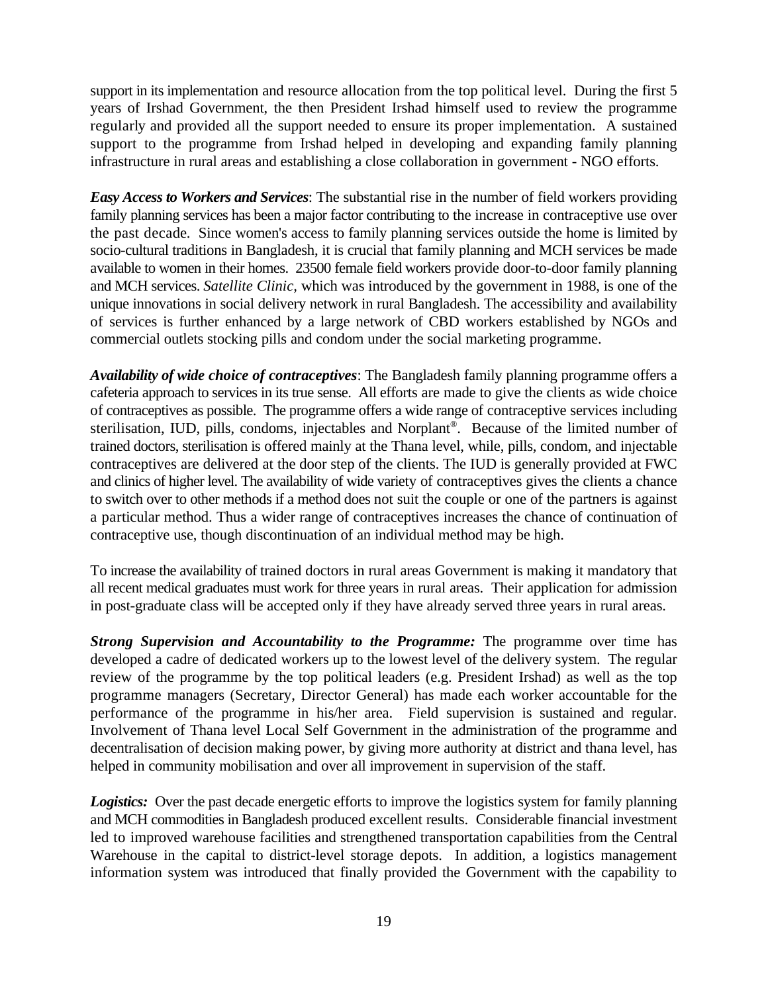support in its implementation and resource allocation from the top political level. During the first 5 years of Irshad Government, the then President Irshad himself used to review the programme regularly and provided all the support needed to ensure its proper implementation. A sustained support to the programme from Irshad helped in developing and expanding family planning infrastructure in rural areas and establishing a close collaboration in government - NGO efforts.

*Easy Access to Workers and Services*: The substantial rise in the number of field workers providing family planning services has been a major factor contributing to the increase in contraceptive use over the past decade. Since women's access to family planning services outside the home is limited by socio-cultural traditions in Bangladesh, it is crucial that family planning and MCH services be made available to women in their homes. 23500 female field workers provide door-to-door family planning and MCH services. *Satellite Clinic,* which was introduced by the government in 1988, is one of the unique innovations in social delivery network in rural Bangladesh. The accessibility and availability of services is further enhanced by a large network of CBD workers established by NGOs and commercial outlets stocking pills and condom under the social marketing programme.

*Availability of wide choice of contraceptives*: The Bangladesh family planning programme offers a cafeteria approach to services in its true sense. All efforts are made to give the clients as wide choice of contraceptives as possible. The programme offers a wide range of contraceptive services including sterilisation, IUD, pills, condoms, injectables and Norplant®. Because of the limited number of trained doctors, sterilisation is offered mainly at the Thana level, while, pills, condom, and injectable contraceptives are delivered at the door step of the clients. The IUD is generally provided at FWC and clinics of higher level. The availability of wide variety of contraceptives gives the clients a chance to switch over to other methods if a method does not suit the couple or one of the partners is against a particular method. Thus a wider range of contraceptives increases the chance of continuation of contraceptive use, though discontinuation of an individual method may be high.

To increase the availability of trained doctors in rural areas Government is making it mandatory that all recent medical graduates must work for three years in rural areas. Their application for admission in post-graduate class will be accepted only if they have already served three years in rural areas.

*Strong Supervision and Accountability to the Programme:* The programme over time has developed a cadre of dedicated workers up to the lowest level of the delivery system. The regular review of the programme by the top political leaders (e.g. President Irshad) as well as the top programme managers (Secretary, Director General) has made each worker accountable for the performance of the programme in his/her area. Field supervision is sustained and regular. Involvement of Thana level Local Self Government in the administration of the programme and decentralisation of decision making power, by giving more authority at district and thana level, has helped in community mobilisation and over all improvement in supervision of the staff.

*Logistics:* Over the past decade energetic efforts to improve the logistics system for family planning and MCH commodities in Bangladesh produced excellent results. Considerable financial investment led to improved warehouse facilities and strengthened transportation capabilities from the Central Warehouse in the capital to district-level storage depots. In addition, a logistics management information system was introduced that finally provided the Government with the capability to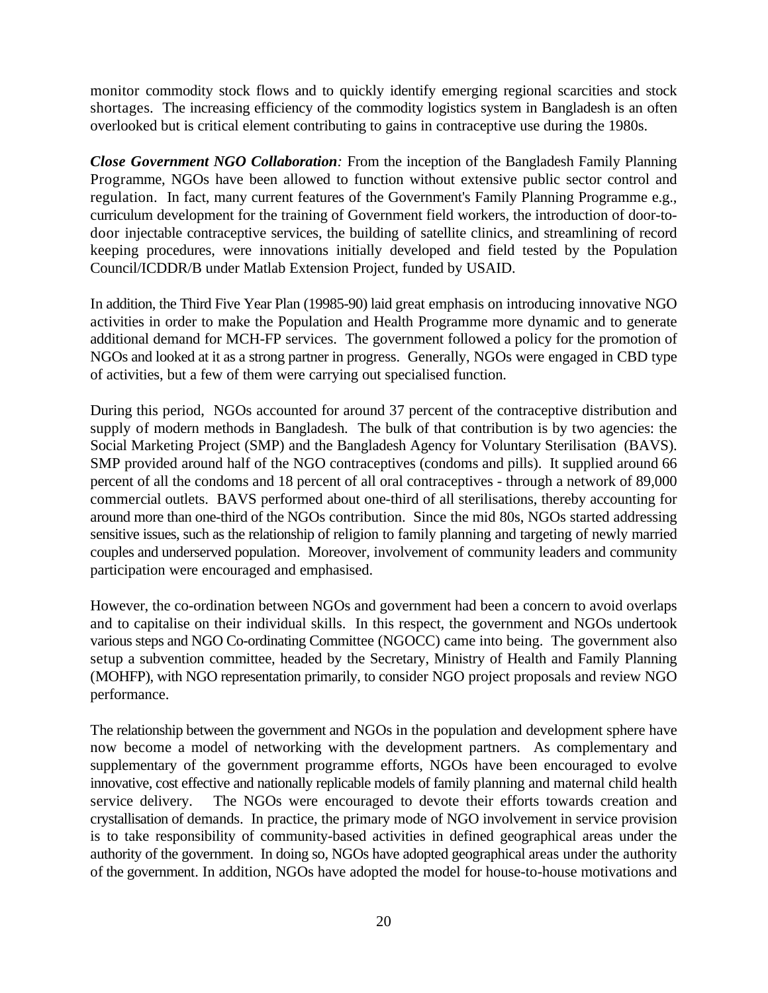monitor commodity stock flows and to quickly identify emerging regional scarcities and stock shortages. The increasing efficiency of the commodity logistics system in Bangladesh is an often overlooked but is critical element contributing to gains in contraceptive use during the 1980s.

*Close Government NGO Collaboration:* From the inception of the Bangladesh Family Planning Programme, NGOs have been allowed to function without extensive public sector control and regulation. In fact, many current features of the Government's Family Planning Programme e.g., curriculum development for the training of Government field workers, the introduction of door-todoor injectable contraceptive services, the building of satellite clinics, and streamlining of record keeping procedures, were innovations initially developed and field tested by the Population Council/ICDDR/B under Matlab Extension Project, funded by USAID.

In addition, the Third Five Year Plan (19985-90) laid great emphasis on introducing innovative NGO activities in order to make the Population and Health Programme more dynamic and to generate additional demand for MCH-FP services. The government followed a policy for the promotion of NGOs and looked at it as a strong partner in progress. Generally, NGOs were engaged in CBD type of activities, but a few of them were carrying out specialised function.

During this period, NGOs accounted for around 37 percent of the contraceptive distribution and supply of modern methods in Bangladesh. The bulk of that contribution is by two agencies: the Social Marketing Project (SMP) and the Bangladesh Agency for Voluntary Sterilisation (BAVS). SMP provided around half of the NGO contraceptives (condoms and pills). It supplied around 66 percent of all the condoms and 18 percent of all oral contraceptives - through a network of 89,000 commercial outlets. BAVS performed about one-third of all sterilisations, thereby accounting for around more than one-third of the NGOs contribution. Since the mid 80s, NGOs started addressing sensitive issues, such as the relationship of religion to family planning and targeting of newly married couples and underserved population. Moreover, involvement of community leaders and community participation were encouraged and emphasised.

However, the co-ordination between NGOs and government had been a concern to avoid overlaps and to capitalise on their individual skills. In this respect, the government and NGOs undertook various steps and NGO Co-ordinating Committee (NGOCC) came into being. The government also setup a subvention committee, headed by the Secretary, Ministry of Health and Family Planning (MOHFP), with NGO representation primarily, to consider NGO project proposals and review NGO performance.

The relationship between the government and NGOs in the population and development sphere have now become a model of networking with the development partners. As complementary and supplementary of the government programme efforts, NGOs have been encouraged to evolve innovative, cost effective and nationally replicable models of family planning and maternal child health service delivery. The NGOs were encouraged to devote their efforts towards creation and crystallisation of demands. In practice, the primary mode of NGO involvement in service provision is to take responsibility of community-based activities in defined geographical areas under the authority of the government. In doing so, NGOs have adopted geographical areas under the authority of the government. In addition, NGOs have adopted the model for house-to-house motivations and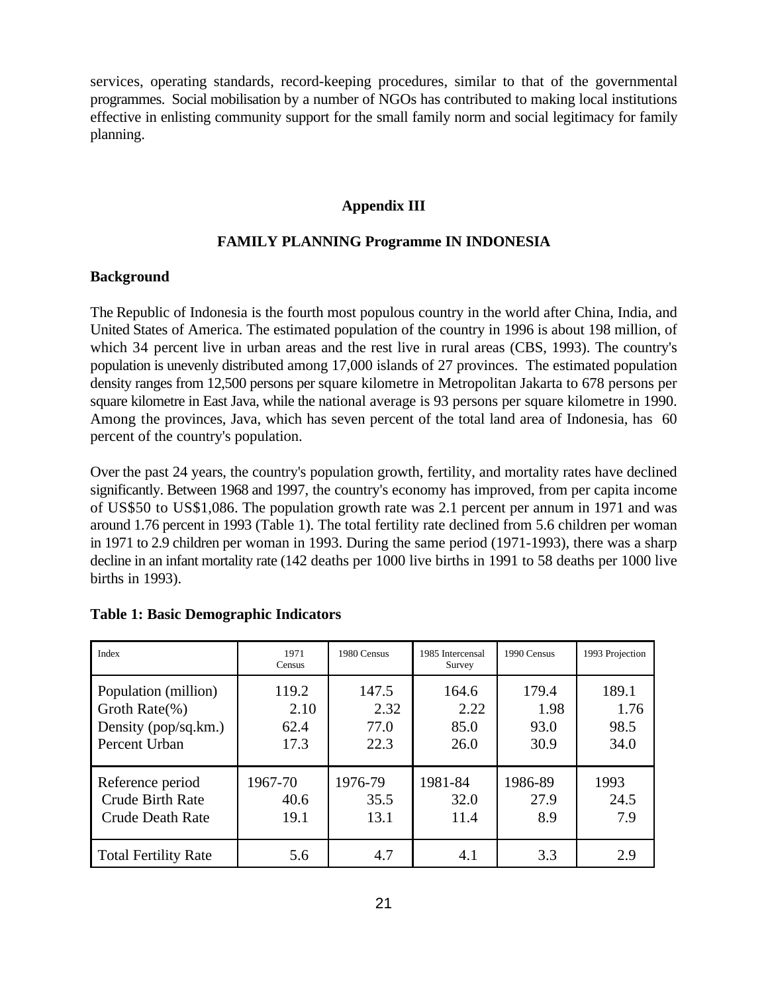services, operating standards, record-keeping procedures, similar to that of the governmental programmes. Social mobilisation by a number of NGOs has contributed to making local institutions effective in enlisting community support for the small family norm and social legitimacy for family planning.

#### **Appendix III**

#### **FAMILY PLANNING Programme IN INDONESIA**

#### **Background**

The Republic of Indonesia is the fourth most populous country in the world after China, India, and United States of America. The estimated population of the country in 1996 is about 198 million, of which 34 percent live in urban areas and the rest live in rural areas (CBS, 1993). The country's population is unevenly distributed among 17,000 islands of 27 provinces. The estimated population density ranges from 12,500 persons per square kilometre in Metropolitan Jakarta to 678 persons per square kilometre in East Java, while the national average is 93 persons per square kilometre in 1990. Among the provinces, Java, which has seven percent of the total land area of Indonesia, has 60 percent of the country's population.

Over the past 24 years, the country's population growth, fertility, and mortality rates have declined significantly. Between 1968 and 1997, the country's economy has improved, from per capita income of US\$50 to US\$1,086. The population growth rate was 2.1 percent per annum in 1971 and was around 1.76 percent in 1993 (Table 1). The total fertility rate declined from 5.6 children per woman in 1971 to 2.9 children per woman in 1993. During the same period (1971-1993), there was a sharp decline in an infant mortality rate (142 deaths per 1000 live births in 1991 to 58 deaths per 1000 live births in 1993).

| Index                       | 1971<br>Census | 1980 Census | 1985 Intercensal<br>Survey | 1990 Census | 1993 Projection |
|-----------------------------|----------------|-------------|----------------------------|-------------|-----------------|
| Population (million)        | 119.2          | 147.5       | 164.6                      | 179.4       | 189.1           |
| Groth Rate $(\%)$           | 2.10           | 2.32        | 2.22                       | 1.98        | 1.76            |
| Density (pop/sq.km.)        | 62.4           | 77.0        | 85.0                       | 93.0        | 98.5            |
| Percent Urban               | 17.3           | 22.3        | 26.0                       | 30.9        | 34.0            |
| Reference period            | 1967-70        | 1976-79     | 1981-84                    | 1986-89     | 1993            |
| Crude Birth Rate            | 40.6           | 35.5        | 32.0                       | 27.9        | 24.5            |
| <b>Crude Death Rate</b>     | 19.1           | 13.1        | 11.4                       | 8.9         | 7.9             |
| <b>Total Fertility Rate</b> | 5.6            | 4.7         | 4.1                        | 3.3         | 2.9             |

#### **Table 1: Basic Demographic Indicators**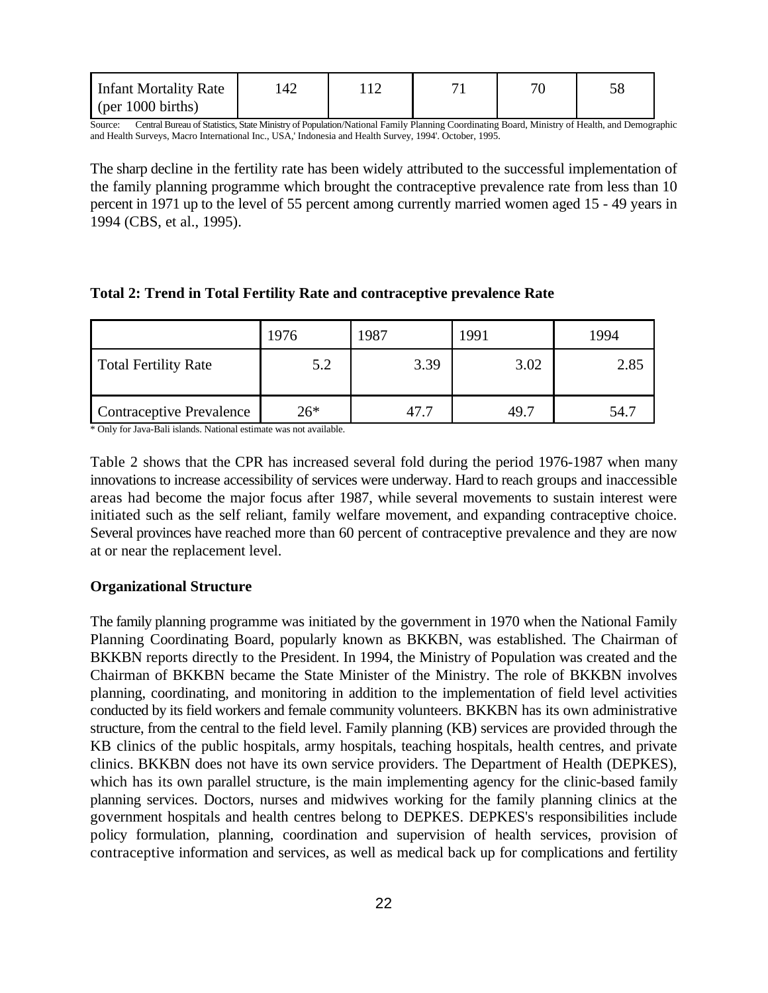| Infant Mortality Rate   | 142 |  | 70 |  |
|-------------------------|-----|--|----|--|
| $\pi$ (per 1000 births) |     |  |    |  |

Source: Central Bureau of Statistics, State Ministry of Population/National Family Planning Coordinating Board, Ministry of Health, and Demographic and Health Surveys, Macro International Inc., USA,' Indonesia and Health Survey, 1994'. October, 1995.

The sharp decline in the fertility rate has been widely attributed to the successful implementation of the family planning programme which brought the contraceptive prevalence rate from less than 10 percent in 1971 up to the level of 55 percent among currently married women aged 15 - 49 years in 1994 (CBS, et al., 1995).

| Total 2: Trend in Total Fertility Rate and contraceptive prevalence Rate |  |  |  |  |  |  |
|--------------------------------------------------------------------------|--|--|--|--|--|--|
|--------------------------------------------------------------------------|--|--|--|--|--|--|

|                             | 1976  | 1987 | 1991 | 1994 |
|-----------------------------|-------|------|------|------|
| <b>Total Fertility Rate</b> | 5.2   | 3.39 | 3.02 | 2.85 |
| Contraceptive Prevalence    | $26*$ | 47.1 | 49.7 | 54.7 |

\* Only for Java-Bali islands. National estimate was not available.

Table 2 shows that the CPR has increased several fold during the period 1976-1987 when many innovations to increase accessibility of services were underway. Hard to reach groups and inaccessible areas had become the major focus after 1987, while several movements to sustain interest were initiated such as the self reliant, family welfare movement, and expanding contraceptive choice. Several provinces have reached more than 60 percent of contraceptive prevalence and they are now at or near the replacement level.

#### **Organizational Structure**

The family planning programme was initiated by the government in 1970 when the National Family Planning Coordinating Board, popularly known as BKKBN, was established. The Chairman of BKKBN reports directly to the President. In 1994, the Ministry of Population was created and the Chairman of BKKBN became the State Minister of the Ministry. The role of BKKBN involves planning, coordinating, and monitoring in addition to the implementation of field level activities conducted by its field workers and female community volunteers. BKKBN has its own administrative structure, from the central to the field level. Family planning (KB) services are provided through the KB clinics of the public hospitals, army hospitals, teaching hospitals, health centres, and private clinics. BKKBN does not have its own service providers. The Department of Health (DEPKES), which has its own parallel structure, is the main implementing agency for the clinic-based family planning services. Doctors, nurses and midwives working for the family planning clinics at the government hospitals and health centres belong to DEPKES. DEPKES's responsibilities include policy formulation, planning, coordination and supervision of health services, provision of contraceptive information and services, as well as medical back up for complications and fertility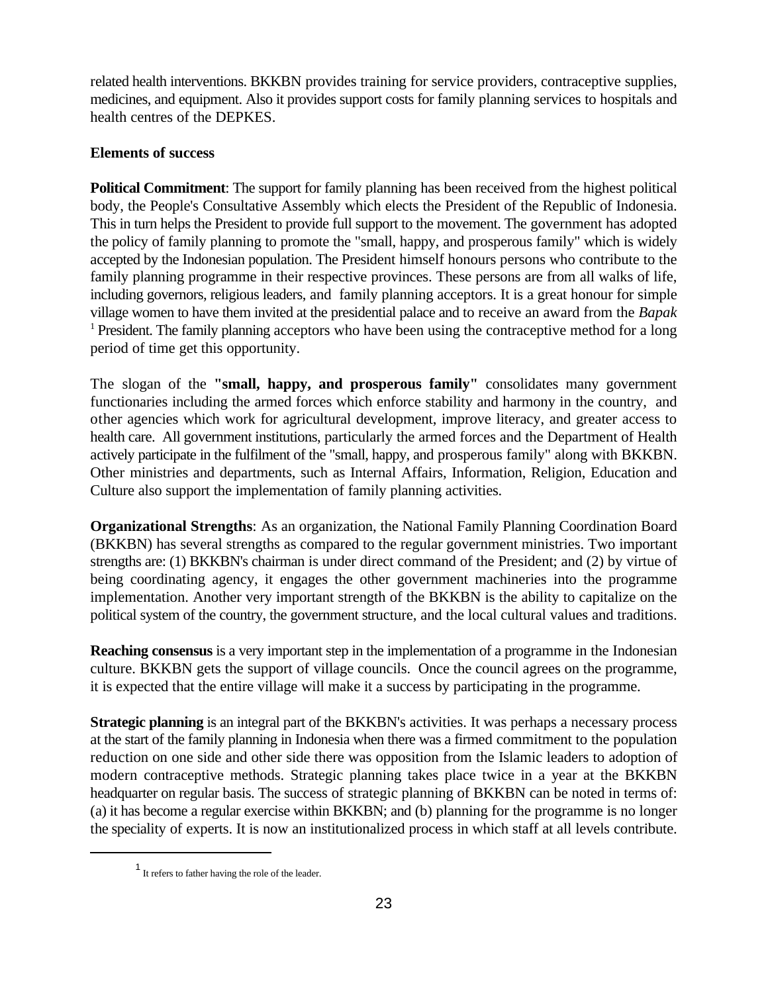related health interventions. BKKBN provides training for service providers, contraceptive supplies, medicines, and equipment. Also it provides support costs for family planning services to hospitals and health centres of the DEPKES.

### **Elements of success**

**Political Commitment**: The support for family planning has been received from the highest political body, the People's Consultative Assembly which elects the President of the Republic of Indonesia. This in turn helps the President to provide full support to the movement. The government has adopted the policy of family planning to promote the "small, happy, and prosperous family" which is widely accepted by the Indonesian population. The President himself honours persons who contribute to the family planning programme in their respective provinces. These persons are from all walks of life, including governors, religious leaders, and family planning acceptors. It is a great honour for simple village women to have them invited at the presidential palace and to receive an award from the *Bapak*  $<sup>1</sup>$  President. The family planning acceptors who have been using the contraceptive method for a long</sup> period of time get this opportunity.

The slogan of the **"small, happy, and prosperous family"** consolidates many government functionaries including the armed forces which enforce stability and harmony in the country, and other agencies which work for agricultural development, improve literacy, and greater access to health care. All government institutions, particularly the armed forces and the Department of Health actively participate in the fulfilment of the "small, happy, and prosperous family" along with BKKBN. Other ministries and departments, such as Internal Affairs, Information, Religion, Education and Culture also support the implementation of family planning activities.

**Organizational Strengths**: As an organization, the National Family Planning Coordination Board (BKKBN) has several strengths as compared to the regular government ministries. Two important strengths are: (1) BKKBN's chairman is under direct command of the President; and (2) by virtue of being coordinating agency, it engages the other government machineries into the programme implementation. Another very important strength of the BKKBN is the ability to capitalize on the political system of the country, the government structure, and the local cultural values and traditions.

**Reaching consensus** is a very important step in the implementation of a programme in the Indonesian culture. BKKBN gets the support of village councils. Once the council agrees on the programme, it is expected that the entire village will make it a success by participating in the programme.

**Strategic planning** is an integral part of the BKKBN's activities. It was perhaps a necessary process at the start of the family planning in Indonesia when there was a firmed commitment to the population reduction on one side and other side there was opposition from the Islamic leaders to adoption of modern contraceptive methods. Strategic planning takes place twice in a year at the BKKBN headquarter on regular basis. The success of strategic planning of BKKBN can be noted in terms of: (a) it has become a regular exercise within BKKBN; and (b) planning for the programme is no longer the speciality of experts. It is now an institutionalized process in which staff at all levels contribute.

<sup>&</sup>lt;sup>1</sup> It refers to father having the role of the leader.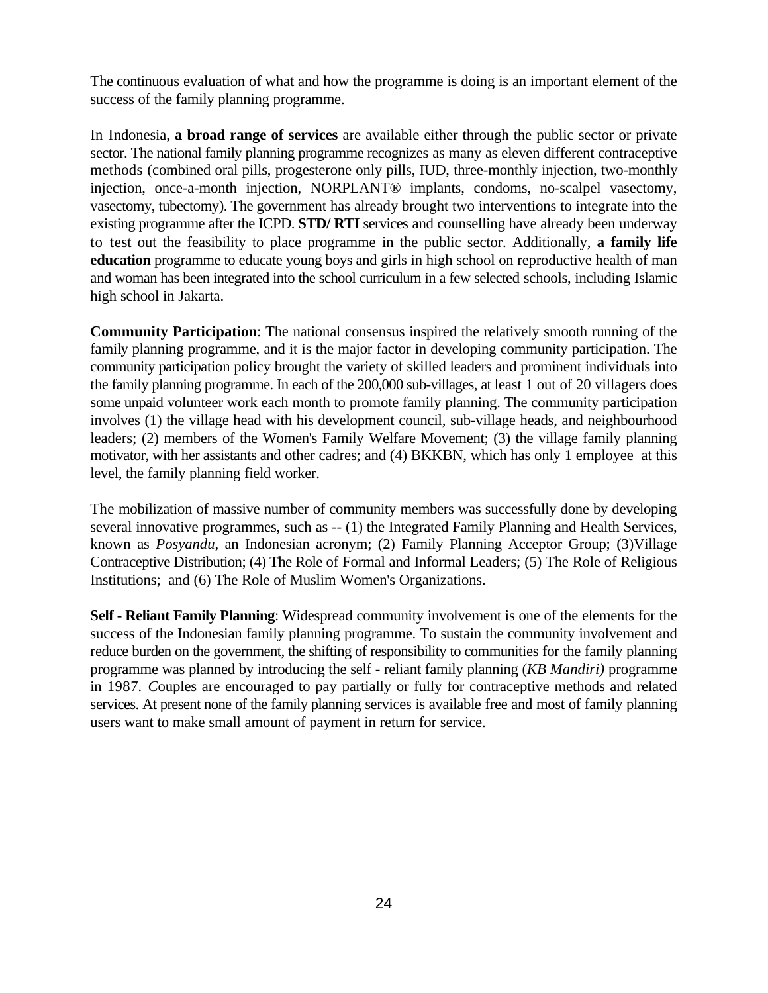The continuous evaluation of what and how the programme is doing is an important element of the success of the family planning programme.

In Indonesia, **a broad range of services** are available either through the public sector or private sector. The national family planning programme recognizes as many as eleven different contraceptive methods (combined oral pills, progesterone only pills, IUD, three-monthly injection, two-monthly injection, once-a-month injection, NORPLANT® implants, condoms, no-scalpel vasectomy, vasectomy, tubectomy). The government has already brought two interventions to integrate into the existing programme after the ICPD. **STD/ RTI** services and counselling have already been underway to test out the feasibility to place programme in the public sector. Additionally, **a family life education** programme to educate young boys and girls in high school on reproductive health of man and woman has been integrated into the school curriculum in a few selected schools, including Islamic high school in Jakarta.

**Community Participation**: The national consensus inspired the relatively smooth running of the family planning programme, and it is the major factor in developing community participation. The community participation policy brought the variety of skilled leaders and prominent individuals into the family planning programme. In each of the 200,000 sub-villages, at least 1 out of 20 villagers does some unpaid volunteer work each month to promote family planning. The community participation involves (1) the village head with his development council, sub-village heads, and neighbourhood leaders; (2) members of the Women's Family Welfare Movement; (3) the village family planning motivator, with her assistants and other cadres; and (4) BKKBN, which has only 1 employee at this level, the family planning field worker.

The mobilization of massive number of community members was successfully done by developing several innovative programmes, such as -- (1) the Integrated Family Planning and Health Services, known as *Posyandu*, an Indonesian acronym; (2) Family Planning Acceptor Group; (3)Village Contraceptive Distribution; (4) The Role of Formal and Informal Leaders; (5) The Role of Religious Institutions; and (6) The Role of Muslim Women's Organizations.

**Self - Reliant Family Planning**: Widespread community involvement is one of the elements for the success of the Indonesian family planning programme. To sustain the community involvement and reduce burden on the government, the shifting of responsibility to communities for the family planning programme was planned by introducing the self - reliant family planning (*KB Mandiri)* programme in 1987*. C*ouples are encouraged to pay partially or fully for contraceptive methods and related services. At present none of the family planning services is available free and most of family planning users want to make small amount of payment in return for service.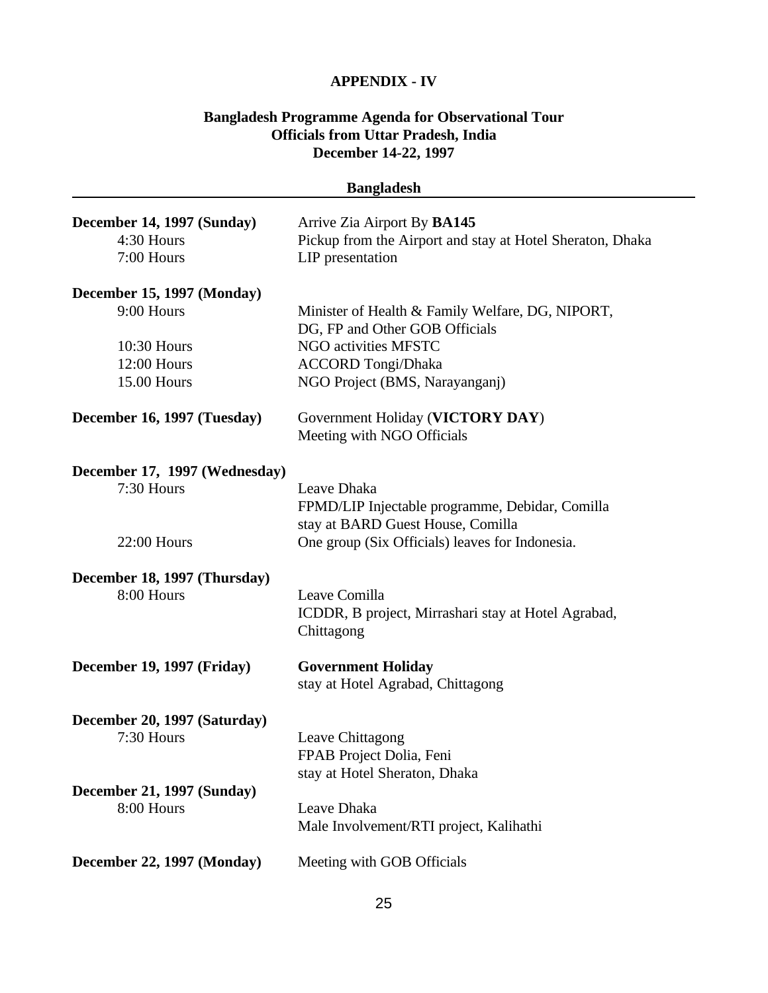#### **APPENDIX - IV**

# **Bangladesh Programme Agenda for Observational Tour Officials from Uttar Pradesh, India December 14-22, 1997**

| December 14, 1997 (Sunday)<br>Arrive Zia Airport By BA145<br>4:30 Hours<br>Pickup from the Airport and stay at Hotel Sheraton, Dhaka<br>7:00 Hours<br>LIP presentation<br>December 15, 1997 (Monday)<br>9:00 Hours<br>Minister of Health & Family Welfare, DG, NIPORT,<br>DG, FP and Other GOB Officials<br>NGO activities MFSTC<br>10:30 Hours<br>12:00 Hours<br><b>ACCORD Tongi/Dhaka</b><br>15.00 Hours<br>NGO Project (BMS, Narayanganj)<br>December 16, 1997 (Tuesday)<br>Government Holiday (VICTORY DAY)<br>Meeting with NGO Officials<br>December 17, 1997 (Wednesday)<br>7:30 Hours<br>Leave Dhaka<br>FPMD/LIP Injectable programme, Debidar, Comilla<br>stay at BARD Guest House, Comilla<br>22:00 Hours<br>One group (Six Officials) leaves for Indonesia.<br>December 18, 1997 (Thursday)<br>8:00 Hours<br>Leave Comilla<br>ICDDR, B project, Mirrashari stay at Hotel Agrabad,<br>Chittagong |  |
|-----------------------------------------------------------------------------------------------------------------------------------------------------------------------------------------------------------------------------------------------------------------------------------------------------------------------------------------------------------------------------------------------------------------------------------------------------------------------------------------------------------------------------------------------------------------------------------------------------------------------------------------------------------------------------------------------------------------------------------------------------------------------------------------------------------------------------------------------------------------------------------------------------------|--|
|                                                                                                                                                                                                                                                                                                                                                                                                                                                                                                                                                                                                                                                                                                                                                                                                                                                                                                           |  |
|                                                                                                                                                                                                                                                                                                                                                                                                                                                                                                                                                                                                                                                                                                                                                                                                                                                                                                           |  |
|                                                                                                                                                                                                                                                                                                                                                                                                                                                                                                                                                                                                                                                                                                                                                                                                                                                                                                           |  |
|                                                                                                                                                                                                                                                                                                                                                                                                                                                                                                                                                                                                                                                                                                                                                                                                                                                                                                           |  |
|                                                                                                                                                                                                                                                                                                                                                                                                                                                                                                                                                                                                                                                                                                                                                                                                                                                                                                           |  |
|                                                                                                                                                                                                                                                                                                                                                                                                                                                                                                                                                                                                                                                                                                                                                                                                                                                                                                           |  |
|                                                                                                                                                                                                                                                                                                                                                                                                                                                                                                                                                                                                                                                                                                                                                                                                                                                                                                           |  |
|                                                                                                                                                                                                                                                                                                                                                                                                                                                                                                                                                                                                                                                                                                                                                                                                                                                                                                           |  |
|                                                                                                                                                                                                                                                                                                                                                                                                                                                                                                                                                                                                                                                                                                                                                                                                                                                                                                           |  |
|                                                                                                                                                                                                                                                                                                                                                                                                                                                                                                                                                                                                                                                                                                                                                                                                                                                                                                           |  |
|                                                                                                                                                                                                                                                                                                                                                                                                                                                                                                                                                                                                                                                                                                                                                                                                                                                                                                           |  |
|                                                                                                                                                                                                                                                                                                                                                                                                                                                                                                                                                                                                                                                                                                                                                                                                                                                                                                           |  |
|                                                                                                                                                                                                                                                                                                                                                                                                                                                                                                                                                                                                                                                                                                                                                                                                                                                                                                           |  |
|                                                                                                                                                                                                                                                                                                                                                                                                                                                                                                                                                                                                                                                                                                                                                                                                                                                                                                           |  |
|                                                                                                                                                                                                                                                                                                                                                                                                                                                                                                                                                                                                                                                                                                                                                                                                                                                                                                           |  |
|                                                                                                                                                                                                                                                                                                                                                                                                                                                                                                                                                                                                                                                                                                                                                                                                                                                                                                           |  |
|                                                                                                                                                                                                                                                                                                                                                                                                                                                                                                                                                                                                                                                                                                                                                                                                                                                                                                           |  |
|                                                                                                                                                                                                                                                                                                                                                                                                                                                                                                                                                                                                                                                                                                                                                                                                                                                                                                           |  |
|                                                                                                                                                                                                                                                                                                                                                                                                                                                                                                                                                                                                                                                                                                                                                                                                                                                                                                           |  |
| December 19, 1997 (Friday)<br><b>Government Holiday</b>                                                                                                                                                                                                                                                                                                                                                                                                                                                                                                                                                                                                                                                                                                                                                                                                                                                   |  |
| stay at Hotel Agrabad, Chittagong                                                                                                                                                                                                                                                                                                                                                                                                                                                                                                                                                                                                                                                                                                                                                                                                                                                                         |  |
| December 20, 1997 (Saturday)                                                                                                                                                                                                                                                                                                                                                                                                                                                                                                                                                                                                                                                                                                                                                                                                                                                                              |  |
| 7:30 Hours<br>Leave Chittagong                                                                                                                                                                                                                                                                                                                                                                                                                                                                                                                                                                                                                                                                                                                                                                                                                                                                            |  |
| FPAB Project Dolia, Feni                                                                                                                                                                                                                                                                                                                                                                                                                                                                                                                                                                                                                                                                                                                                                                                                                                                                                  |  |
| stay at Hotel Sheraton, Dhaka                                                                                                                                                                                                                                                                                                                                                                                                                                                                                                                                                                                                                                                                                                                                                                                                                                                                             |  |
| December 21, 1997 (Sunday)                                                                                                                                                                                                                                                                                                                                                                                                                                                                                                                                                                                                                                                                                                                                                                                                                                                                                |  |
| 8:00 Hours<br>Leave Dhaka                                                                                                                                                                                                                                                                                                                                                                                                                                                                                                                                                                                                                                                                                                                                                                                                                                                                                 |  |
| Male Involvement/RTI project, Kalihathi                                                                                                                                                                                                                                                                                                                                                                                                                                                                                                                                                                                                                                                                                                                                                                                                                                                                   |  |
| Meeting with GOB Officials<br>December 22, 1997 (Monday)                                                                                                                                                                                                                                                                                                                                                                                                                                                                                                                                                                                                                                                                                                                                                                                                                                                  |  |